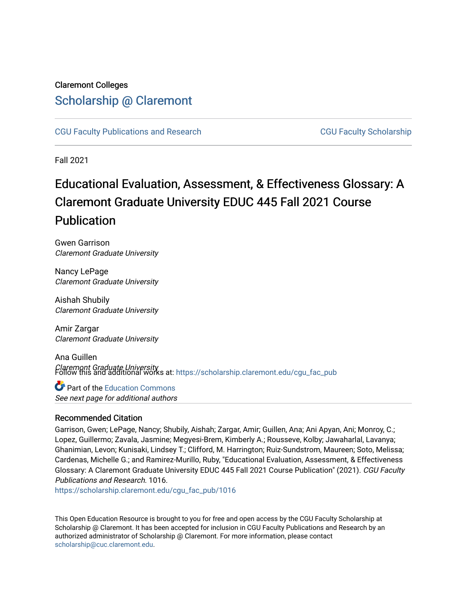# Claremont Colleges [Scholarship @ Claremont](https://scholarship.claremont.edu/)

[CGU Faculty Publications and Research](https://scholarship.claremont.edu/cgu_fac_pub) [CGU Faculty Scholarship](https://scholarship.claremont.edu/cgu_faculty) 

Fall 2021

# Educational Evaluation, Assessment, & Effectiveness Glossary: A Claremont Graduate University EDUC 445 Fall 2021 Course **Publication**

Gwen Garrison Claremont Graduate University

Nancy LePage Claremont Graduate University

Aishah Shubily Claremont Graduate University

Amir Zargar Claremont Graduate University

Ana Guillen Claremont Graduate University Follow this and additional works at: [https://scholarship.claremont.edu/cgu\\_fac\\_pub](https://scholarship.claremont.edu/cgu_fac_pub?utm_source=scholarship.claremont.edu%2Fcgu_fac_pub%2F1016&utm_medium=PDF&utm_campaign=PDFCoverPages) 

# **C** Part of the [Education Commons](http://network.bepress.com/hgg/discipline/784?utm_source=scholarship.claremont.edu%2Fcgu_fac_pub%2F1016&utm_medium=PDF&utm_campaign=PDFCoverPages)

See next page for additional authors

# Recommended Citation

Garrison, Gwen; LePage, Nancy; Shubily, Aishah; Zargar, Amir; Guillen, Ana; Ani Apyan, Ani; Monroy, C.; Lopez, Guillermo; Zavala, Jasmine; Megyesi-Brem, Kimberly A.; Rousseve, Kolby; Jawaharlal, Lavanya; Ghanimian, Levon; Kunisaki, Lindsey T.; Clifford, M. Harrington; Ruiz-Sundstrom, Maureen; Soto, Melissa; Cardenas, Michelle G.; and Ramirez-Murillo, Ruby, "Educational Evaluation, Assessment, & Effectiveness Glossary: A Claremont Graduate University EDUC 445 Fall 2021 Course Publication" (2021). CGU Faculty Publications and Research. 1016.

[https://scholarship.claremont.edu/cgu\\_fac\\_pub/1016](https://scholarship.claremont.edu/cgu_fac_pub/1016?utm_source=scholarship.claremont.edu%2Fcgu_fac_pub%2F1016&utm_medium=PDF&utm_campaign=PDFCoverPages) 

This Open Education Resource is brought to you for free and open access by the CGU Faculty Scholarship at Scholarship @ Claremont. It has been accepted for inclusion in CGU Faculty Publications and Research by an authorized administrator of Scholarship @ Claremont. For more information, please contact [scholarship@cuc.claremont.edu.](mailto:scholarship@cuc.claremont.edu)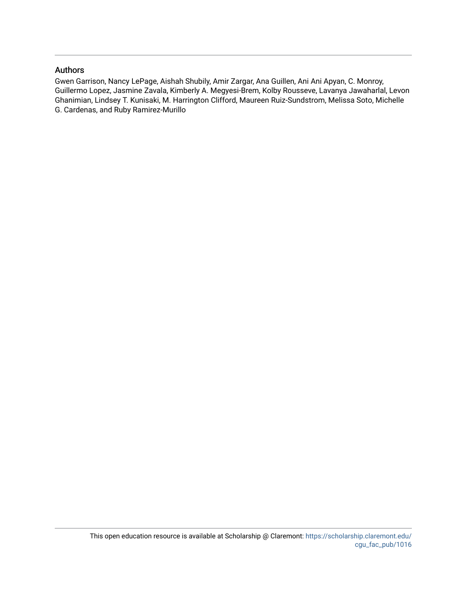#### Authors

Gwen Garrison, Nancy LePage, Aishah Shubily, Amir Zargar, Ana Guillen, Ani Ani Apyan, C. Monroy, Guillermo Lopez, Jasmine Zavala, Kimberly A. Megyesi-Brem, Kolby Rousseve, Lavanya Jawaharlal, Levon Ghanimian, Lindsey T. Kunisaki, M. Harrington Clifford, Maureen Ruiz-Sundstrom, Melissa Soto, Michelle G. Cardenas, and Ruby Ramirez-Murillo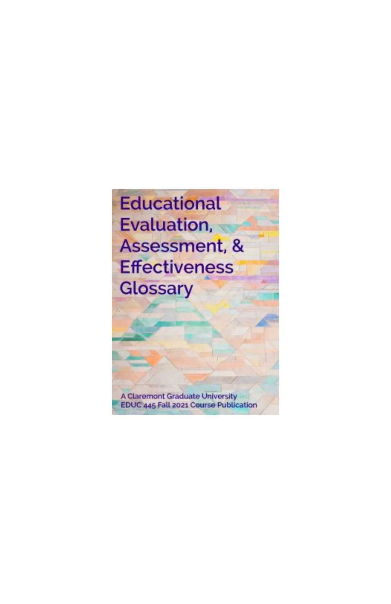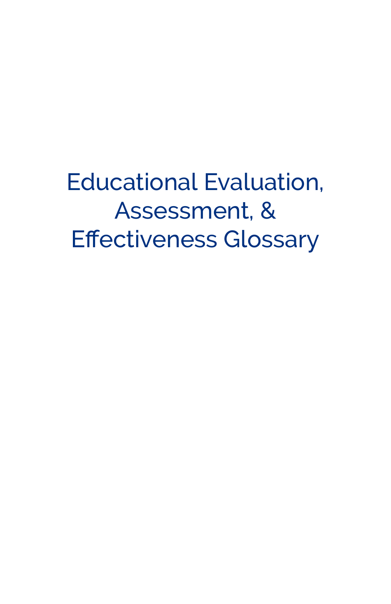Educational Evaluation, Assessment, & **Effectiveness Glossary**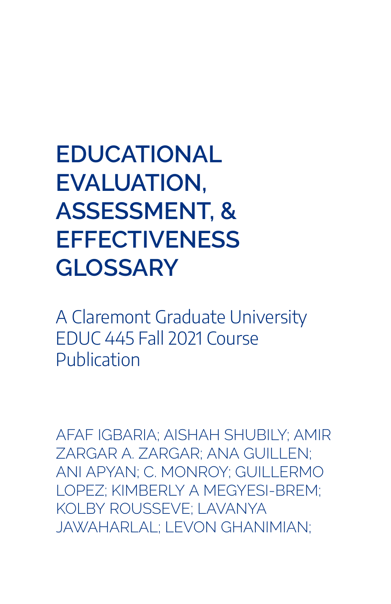# **EDUCATIONAL EVALUATION, ASSESSMENT, & EFFECTIVENESS GLOSSARY**

A Claremont Graduate University EDUC 445 Fall 2021 Course Publication

AFAF IGBARIA; AISHAH SHUBILY; AMIR ZARGAR A. ZARGAR; ANA GUILLEN; ANI APYAN; C. MONROY; GUILLERMO LOPEZ; KIMBERLY A MEGYESI-BREM; KOLBY ROUSSEVE; LAVANYA JAWAHARLAL; LEVON GHANIMIAN;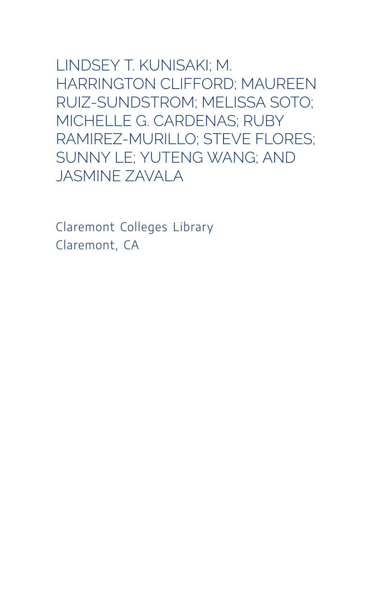LINDSEY T. KUNISAKI; M. HARRINGTON CLIFFORD; MAUREEN RUIZ-SUNDSTROM; MELISSA SOTO; MICHELLE G. CARDENAS; RUBY RAMIREZ-MURILLO; STEVE FLORES; SUNNY LE; YUTENG WANG; AND JASMINE ZAVALA

Claremont Colleges Library Claremont, CA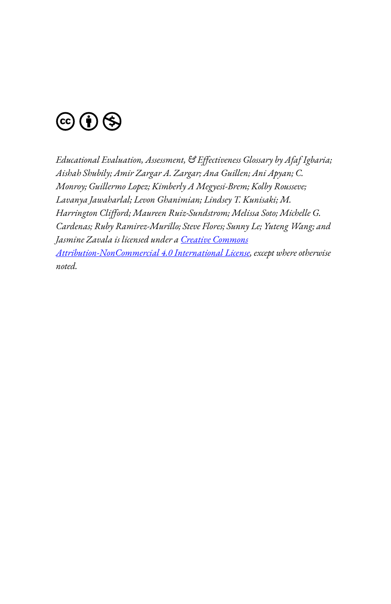

*Educational Evaluation, Assessment, & E3ectiveness Glossary by Afaf Igbaria; Aishah Shubily; Amir Zargar A. Zargar; Ana Guillen; Ani Apyan; C. Monroy; Guillermo Lopez; Kimberly A Megyesi-Brem; Kolby Rousseve; Lavanya Jawaharlal; Levon Ghanimian; Lindsey T. Kunisaki; M.*  Harrington Clifford; Maureen Ruiz-Sundstrom; Melissa Soto; Michelle G. *Cardenas; Ruby Ramirez-Murillo; Steve Flores; Sunny Le; Yuteng Wang; and Jasmine Zavala is licensed under a [Creative Commons](https://creativecommons.org/licenses/by-nc/4.0/) [Attribution-NonCommercial 4.0 International License](https://creativecommons.org/licenses/by-nc/4.0/), except where otherwise noted.*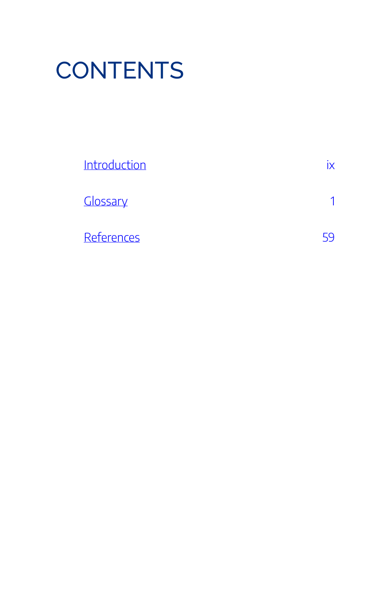# **CONTENTS**

| Introduction |  |
|--------------|--|
| Glossary     |  |
| References   |  |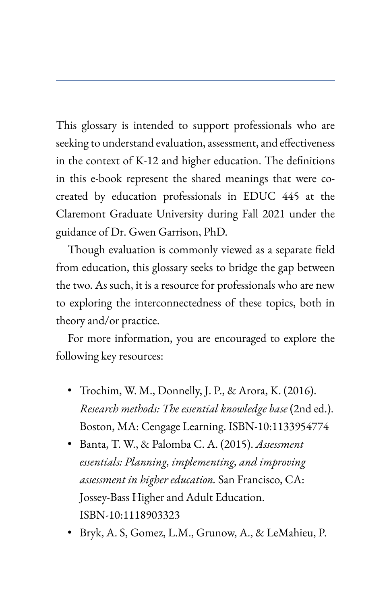<span id="page-11-0"></span>This glossary is intended to support professionals who are seeking to understand evaluation, assessment, and effectiveness in the context of K-12 and higher education. The definitions in this e-book represent the shared meanings that were cocreated by education professionals in EDUC 445 at the Claremont Graduate University during Fall 2021 under the guidance of Dr. Gwen Garrison, PhD.

Though evaluation is commonly viewed as a separate field from education, this glossary seeks to bridge the gap between the two. As such, it is a resource for professionals who are new to exploring the interconnectedness of these topics, both in theory and/or practice.

For more information, you are encouraged to explore the following key resources:

- Trochim, W. M., Donnelly, J. P., & Arora, K. (2016). *Research methods: The essential knowledge base* (2nd ed.). Boston, MA: Cengage Learning. ISBN-10:1133954774
- Banta, T. W., & Palomba C. A. (2015). *Assessment essentials: Planning, implementing, and improving assessment in higher education.* San Francisco, CA: Jossey-Bass Higher and Adult Education. ISBN-10:1118903323
- Bryk, A. S, Gomez, L.M., Grunow, A., & LeMahieu, P.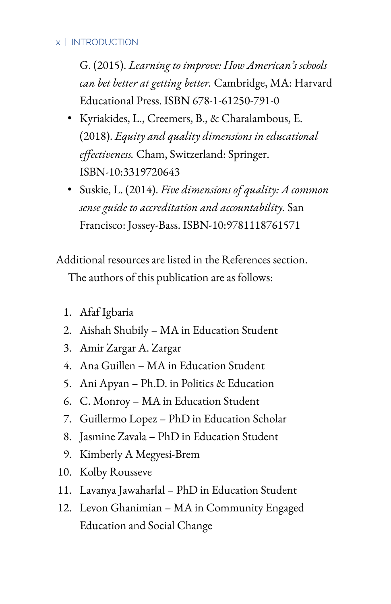#### x | INTRODUCTION

G. (2015). *Learning to improve: How American's schools can bet better at getting better.* Cambridge, MA: Harvard Educational Press. ISBN 678-1-61250-791-0

- Kyriakides, L., Creemers, B., & Charalambous, E. (2018). *Equity and quality dimensions in educational*  effectiveness. Cham, Switzerland: Springer. ISBN-10:3319720643
- Suskie, L. (2014). *Five dimensions of quality: A common sense guide to accreditation and accountability.* San Francisco: Jossey-Bass. ISBN-10:9781118761571

Additional resources are listed in the References section. The authors of this publication are as follows:

- 1. Afaf Igbaria
- 2. Aishah Shubily MA in Education Student
- 3. Amir Zargar A. Zargar
- 4. Ana Guillen MA in Education Student
- 5. Ani Apyan Ph.D. in Politics & Education
- 6. C. Monroy MA in Education Student
- 7. Guillermo Lopez PhD in Education Scholar
- 8. Jasmine Zavala PhD in Education Student
- 9. Kimberly A Megyesi-Brem
- 10. Kolby Rousseve
- 11. Lavanya Jawaharlal PhD in Education Student
- 12. Levon Ghanimian MA in Community Engaged Education and Social Change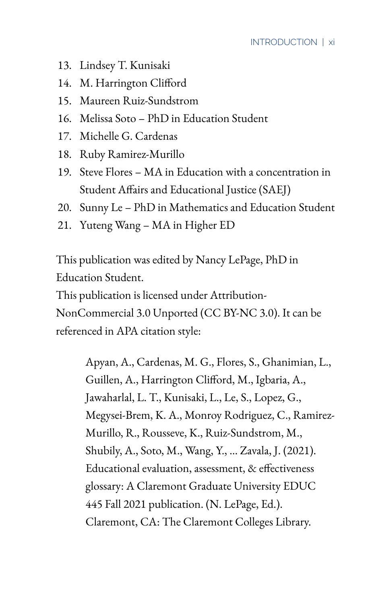- 13. Lindsey T. Kunisaki
- 14. M. Harrington Clifford
- 15. Maureen Ruiz-Sundstrom
- 16. Melissa Soto PhD in Education Student
- 17. Michelle G. Cardenas
- 18. Ruby Ramirez-Murillo
- 19. Steve Flores MA in Education with a concentration in Student Affairs and Educational Justice (SAEJ)
- 20. Sunny Le PhD in Mathematics and Education Student
- 21. Yuteng Wang MA in Higher ED

This publication was edited by Nancy LePage, PhD in Education Student.

This publication is licensed under Attribution-

NonCommercial 3.0 Unported (CC BY-NC 3.0). It can be referenced in APA citation style:

> Apyan, A., Cardenas, M. G., Flores, S., Ghanimian, L., Guillen, A., Harrington Clifford, M., Igbaria, A., Jawaharlal, L. T., Kunisaki, L., Le, S., Lopez, G., Megysei-Brem, K. A., Monroy Rodriguez, C., Ramirez-Murillo, R., Rousseve, K., Ruiz-Sundstrom, M., Shubily, A., Soto, M., Wang, Y., … Zavala, J. (2021). Educational evaluation, assessment, & effectiveness glossary: A Claremont Graduate University EDUC 445 Fall 2021 publication. (N. LePage, Ed.). Claremont, CA: The Claremont Colleges Library.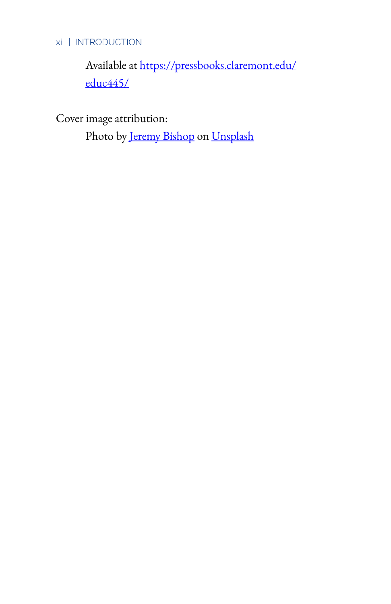## xii | INTRODUCTION

Available at [https://pressbooks.claremont.edu/](https://pressbooks.claremont.edu/educ445/) [educ445/](https://pressbooks.claremont.edu/educ445/) 

Cover image attribution:

Photo by [Jeremy Bishop](https://unsplash.com/photos/KFIjzXYg1RM) on [Unsplash](https://unsplash.com/)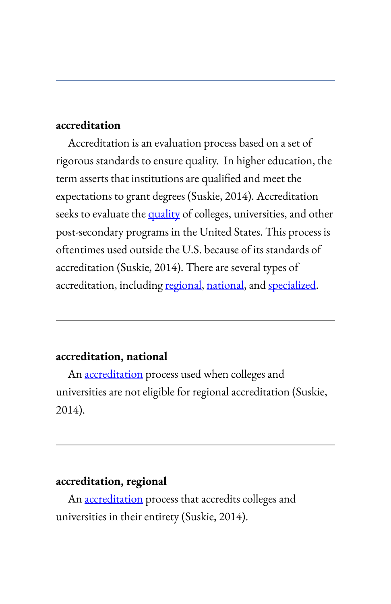# <span id="page-15-1"></span><span id="page-15-0"></span>**accreditation**

Accreditation is an evaluation process based on a set of rigorous standards to ensure quality. In higher education, the term asserts that institutions are qualified and meet the expectations to grant degrees (Suskie, 2014). Accreditation seeks to evaluate the [quality](#page-50-0) of colleges, universities, and other post-secondary programs in the United States. This process is oftentimes used outside the U.S. because of its standards of accreditation (Suskie, 2014). There are several types of accreditation, including regional, national, and specialized.

#### **accreditation, national**

An [accreditation](#page-15-1) process used when colleges and universities are not eligible for regional accreditation (Suskie, 2014).

# **accreditation, regional**

An **[accreditation](#page-15-1)** process that accredits colleges and universities in their entirety (Suskie, 2014).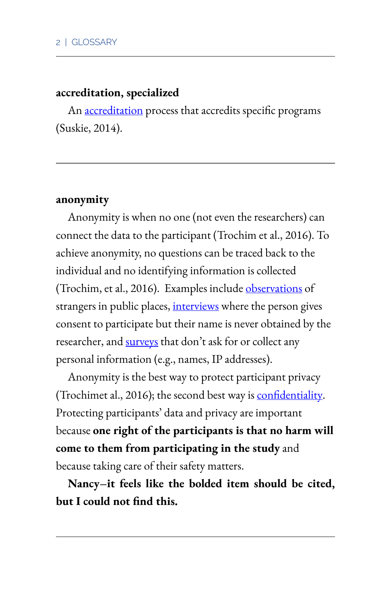#### **accreditation, specialized**

An [accreditation](#page-15-1) process that accredits specific programs (Suskie, 2014).

#### <span id="page-16-0"></span>**anonymity**

Anonymity is when no one (not even the researchers) can connect the data to the participant (Trochim et al., 2016). To achieve anonymity, no questions can be traced back to the individual and no identifying information is collected (Trochim, et al., 2016). Examples include [observations](#page-45-0) of strangers in public places, [interviews](#page-38-0) where the person gives consent to participate but their name is never obtained by the researcher, and [surveys](#page-64-0) that don't ask for or collect any personal information (e.g., names, IP addresses).

Anonymity is the best way to protect participant privacy (Trochimet al., 2016); the second best way is **confidentiality**. Protecting participants' data and privacy are important because **one right of the participants is that no harm will come to them from participating in the study** and because taking care of their safety matters.

**Nancy–it feels like the bolded item should be cited, but I could not find this.**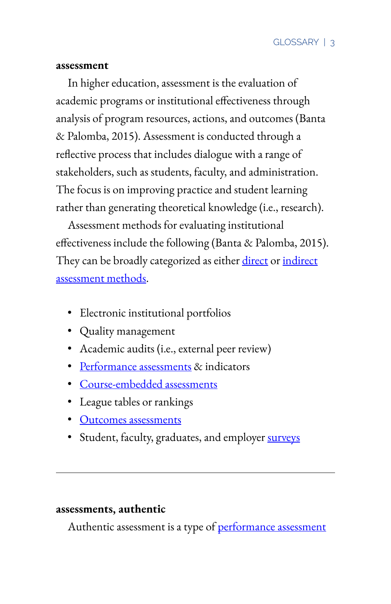#### <span id="page-17-0"></span>**assessment**

In higher education, assessment is the evaluation of academic programs or institutional effectiveness through analysis of program resources, actions, and outcomes (Banta & Palomba, 2015). Assessment is conducted through a reflective process that includes dialogue with a range of stakeholders, such as students, faculty, and administration. The focus is on improving practice and student learning rather than generating theoretical knowledge (i.e., research).

Assessment methods for evaluating institutional effectiveness include the following (Banta & Palomba, 2015). They can be broadly categorized as either direct or indirect [assessment methods](http://assessment%20methods,%20indirect).

- Electronic institutional portfolios
- Quality management
- Academic audits (i.e., external peer review)
- Performance assessments & indicators
- Course-embedded assessments
- League tables or rankings
- Outcomes assessments
- Student, faculty, graduates, and employer [surveys](#page-64-0)

#### **assessments, authentic**

Authentic assessment is a type of performance assessment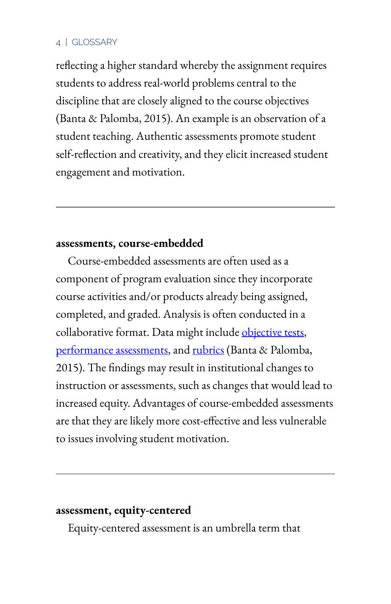reflecting a higher standard whereby the assignment requires students to address real-world problems central to the discipline that are closely aligned to the course objectives (Banta & Palomba, 2015). An example is an observation of a student teaching. Authentic assessments promote student self-reflection and creativity, and they elicit increased student engagement and motivation.

#### **assessments, course-embedded**

Course-embedded assessments are often used as a component of program evaluation since they incorporate course activities and/or products already being assigned, completed, and graded. Analysis is often conducted in a collaborative format. Data might include objective tests, performance assessments, and [rubrics](#page-55-0) (Banta & Palomba, 2015). The findings may result in institutional changes to instruction or assessments, such as changes that would lead to increased equity. Advantages of course-embedded assessments are that they are likely more cost-effective and less vulnerable to issues involving student motivation.

### **assessment, equity-centered**

Equity-centered assessment is an umbrella term that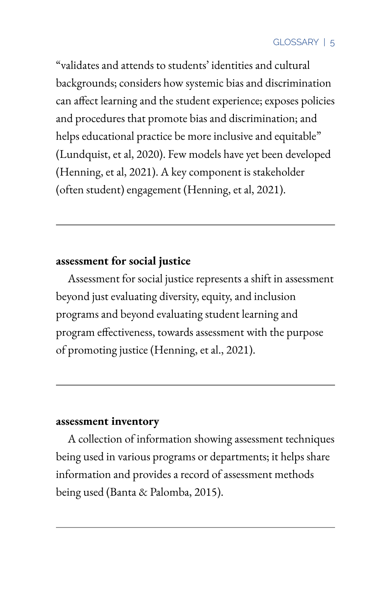"validates and attends to students' identities and cultural backgrounds; considers how systemic bias and discrimination can affect learning and the student experience; exposes policies and procedures that promote bias and discrimination; and helps educational practice be more inclusive and equitable" (Lundquist, et al, 2020). Few models have yet been developed (Henning, et al, 2021). A key component is stakeholder (often student) engagement (Henning, et al, 2021).

# **assessment for social justice**

Assessment for social justice represents a shift in assessment beyond just evaluating diversity, equity, and inclusion programs and beyond evaluating student learning and program effectiveness, towards assessment with the purpose of promoting justice (Henning, et al., 2021).

# **assessment inventory**

A collection of information showing assessment techniques being used in various programs or departments; it helps share information and provides a record of assessment methods being used (Banta & Palomba, 2015).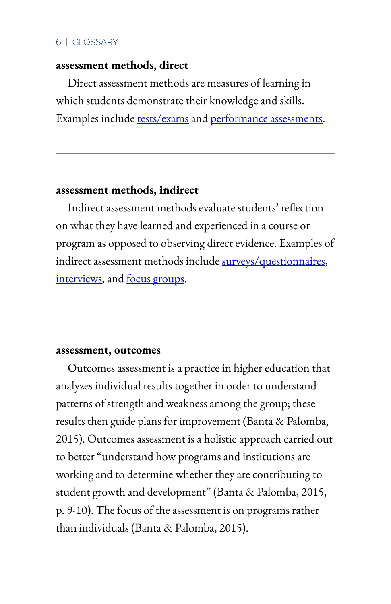#### **assessment methods, direct**

Direct assessment methods are measures of learning in which students demonstrate their knowledge and skills. Examples include [tests/exams](#page-65-0) and performance assessments.

#### **assessment methods, indirect**

Indirect assessment methods evaluate students' reflection on what they have learned and experienced in a course or program as opposed to observing direct evidence. Examples of indirect assessment methods include [surveys/questionnaires](#page-64-0), [interviews](#page-38-0), and **focus** groups.

#### **assessment, outcomes**

Outcomes assessment is a practice in higher education that analyzes individual results together in order to understand patterns of strength and weakness among the group; these results then guide plans for improvement (Banta & Palomba, 2015). Outcomes assessment is a holistic approach carried out to better "understand how programs and institutions are working and to determine whether they are contributing to student growth and development" (Banta & Palomba, 2015, p. 9-10). The focus of the assessment is on programs rather than individuals (Banta & Palomba, 2015).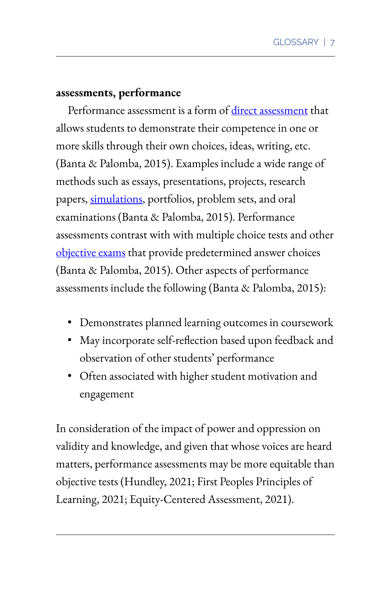#### **assessments, performance**

Performance assessment is a form of direct assessment that allows students to demonstrate their competence in one or more skills through their own choices, ideas, writing, etc. (Banta & Palomba, 2015). Examples include a wide range of methods such as essays, presentations, projects, research papers, [simulations](#page-61-0), portfolios, problem sets, and oral examinations (Banta & Palomba, 2015). Performance assessments contrast with with multiple choice tests and other objective exams that provide predetermined answer choices (Banta & Palomba, 2015). Other aspects of performance assessments include the following (Banta & Palomba, 2015):

- Demonstrates planned learning outcomes in coursework
- May incorporate self-reflection based upon feedback and observation of other students' performance
- Often associated with higher student motivation and engagement

In consideration of the impact of power and oppression on validity and knowledge, and given that whose voices are heard matters, performance assessments may be more equitable than objective tests (Hundley, 2021; First Peoples Principles of Learning, 2021; Equity-Centered Assessment, 2021).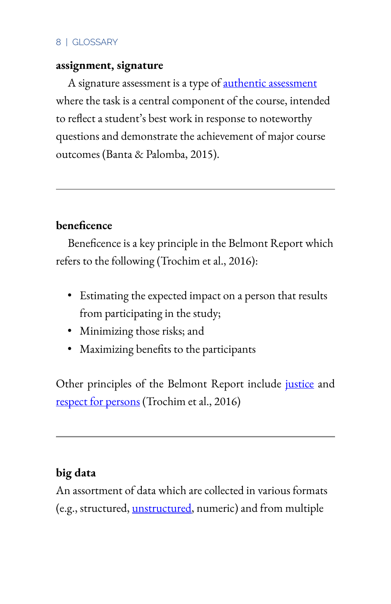# **assignment, signature**

A signature assessment is a type of **authentic assessment** where the task is a central component of the course, intended to reflect a student's best work in response to noteworthy questions and demonstrate the achievement of major course outcomes (Banta & Palomba, 2015).

# **beneficence**

Beneficence is a key principle in the Belmont Report which refers to the following (Trochim et al., 2016):

- Estimating the expected impact on a person that results from participating in the study;
- Minimizing those risks; and
- Maximizing benefits to the participants

Other principles of the Belmont Report include [justice](#page-39-0) and respect for persons (Trochim et al., 2016)

# **big data**

An assortment of data which are collected in various formats (e.g., structured, unstructured, numeric) and from multiple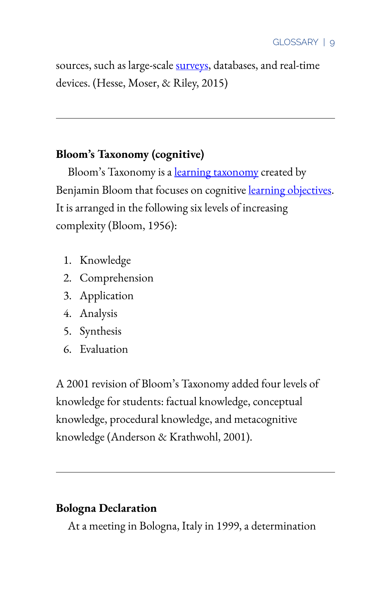sources, such as large-scale [surveys](#page-64-0), databases, and real-time devices. (Hesse, Moser, & Riley, 2015)

# **Bloom's Taxonomy (cognitive)**

Bloom's Taxonomy is a <u>learning taxonomy</u> created by Benjamin Bloom that focuses on cognitive learning objectives. It is arranged in the following six levels of increasing complexity (Bloom, 1956):

- 1. Knowledge
- 2. Comprehension
- 3. Application
- 4. Analysis
- 5. Synthesis
- 6. Evaluation

A 2001 revision of Bloom's Taxonomy added four levels of knowledge for students: factual knowledge, conceptual knowledge, procedural knowledge, and metacognitive knowledge (Anderson & Krathwohl, 2001).

# **Bologna Declaration**

At a meeting in Bologna, Italy in 1999, a determination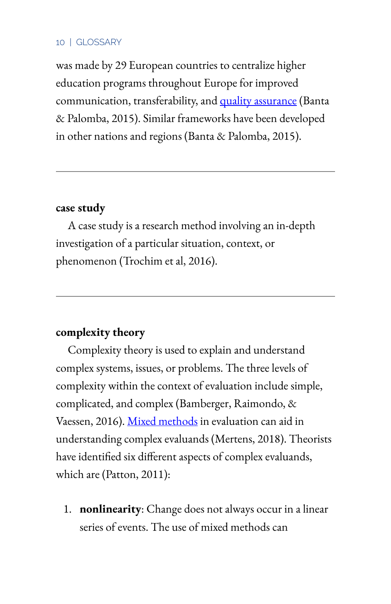was made by 29 European countries to centralize higher education programs throughout Europe for improved communication, transferability, and quality assurance (Banta & Palomba, 2015). Similar frameworks have been developed in other nations and regions (Banta & Palomba, 2015).

### **case study**

A case study is a research method involving an in-depth investigation of a particular situation, context, or phenomenon (Trochim et al, 2016).

# **complexity theory**

Complexity theory is used to explain and understand complex systems, issues, or problems. The three levels of complexity within the context of evaluation include simple, complicated, and complex (Bamberger, Raimondo, & Vaessen, 2016). Mixed methods in evaluation can aid in understanding complex evaluands (Mertens, 2018). Theorists have identified six different aspects of complex evaluands, which are (Patton, 2011):

1. **nonlinearity**: Change does not always occur in a linear series of events. The use of mixed methods can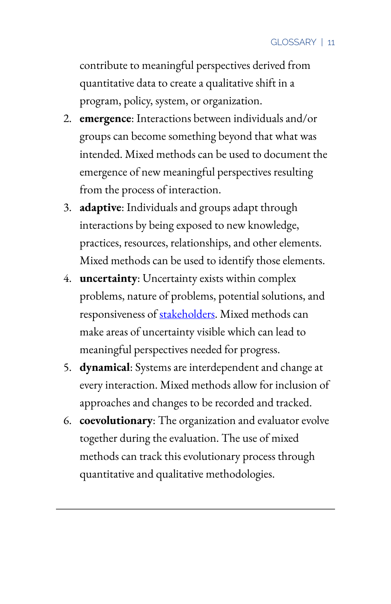contribute to meaningful perspectives derived from quantitative data to create a qualitative shift in a program, policy, system, or organization.

- 2. **emergence**: Interactions between individuals and/or groups can become something beyond that what was intended. Mixed methods can be used to document the emergence of new meaningful perspectives resulting from the process of interaction.
- 3. **adaptive**: Individuals and groups adapt through interactions by being exposed to new knowledge, practices, resources, relationships, and other elements. Mixed methods can be used to identify those elements.
- 4. **uncertainty**: Uncertainty exists within complex problems, nature of problems, potential solutions, and responsiveness of [stakeholders.](#page-62-0) Mixed methods can make areas of uncertainty visible which can lead to meaningful perspectives needed for progress.
- 5. **dynamical**: Systems are interdependent and change at every interaction. Mixed methods allow for inclusion of approaches and changes to be recorded and tracked.
- 6. **coevolutionary**: The organization and evaluator evolve together during the evaluation. The use of mixed methods can track this evolutionary process through quantitative and qualitative methodologies.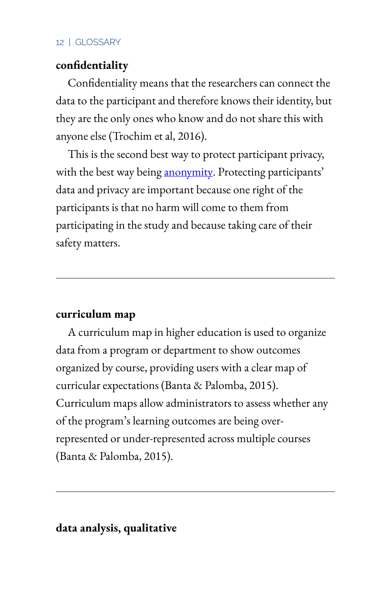# <span id="page-26-0"></span>confidentiality

Confidentiality means that the researchers can connect the data to the participant and therefore knows their identity, but they are the only ones who know and do not share this with anyone else (Trochim et al, 2016).

This is the second best way to protect participant privacy, with the best way being [anonymity.](#page-16-0) Protecting participants' data and privacy are important because one right of the participants is that no harm will come to them from participating in the study and because taking care of their safety matters.

# **curriculum map**

A curriculum map in higher education is used to organize data from a program or department to show outcomes organized by course, providing users with a clear map of curricular expectations (Banta & Palomba, 2015). Curriculum maps allow administrators to assess whether any of the program's learning outcomes are being overrepresented or under-represented across multiple courses (Banta & Palomba, 2015).

# **data analysis, qualitative**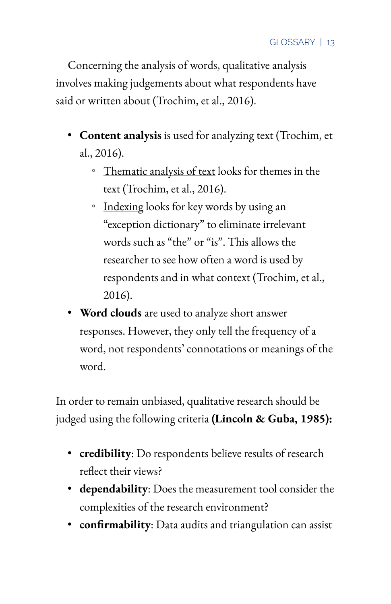Concerning the analysis of words, qualitative analysis involves making judgements about what respondents have said or written about (Trochim, et al., 2016).

- **Content analysis** is used for analyzing text (Trochim, et al., 2016).
	- Thematic analysis of text looks for themes in the text (Trochim, et al., 2016).
	- Indexing looks for key words by using an "exception dictionary" to eliminate irrelevant words such as "the" or "is". This allows the researcher to see how often a word is used by respondents and in what context (Trochim, et al., 2016).
- **Word clouds** are used to analyze short answer responses. However, they only tell the frequency of a word, not respondents' connotations or meanings of the word.

In order to remain unbiased, qualitative research should be judged using the following criteria **(Lincoln & Guba, 1985):** 

- **credibility**: Do respondents believe results of research reflect their views?
- **dependability**: Does the measurement tool consider the complexities of the research environment?
- **confirmability**: Data audits and triangulation can assist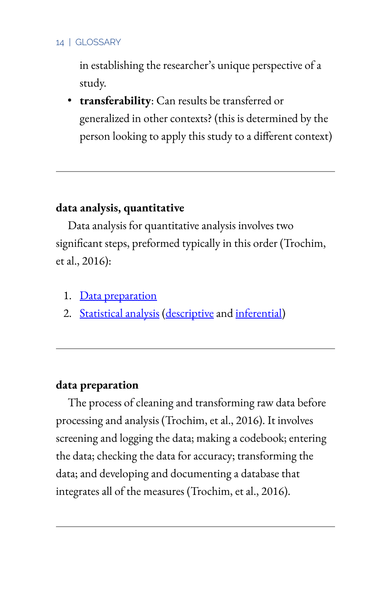in establishing the researcher's unique perspective of a study.

• **transferability**: Can results be transferred or generalized in other contexts? (this is determined by the person looking to apply this study to a different context)

# **data analysis, quantitative**

Data analysis for quantitative analysis involves two significant steps, preformed typically in this order (Trochim, et al., 2016):

- 1. Data preparation
- 2. Statistical analysis (descriptive and inferential)

### **data preparation**

The process of cleaning and transforming raw data before processing and analysis (Trochim, et al., 2016). It involves screening and logging the data; making a codebook; entering the data; checking the data for accuracy; transforming the data; and developing and documenting a database that integrates all of the measures (Trochim, et al., 2016).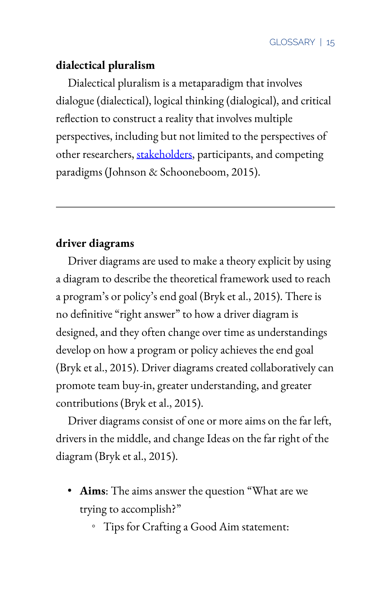# **dialectical pluralism**

Dialectical pluralism is a metaparadigm that involves dialogue (dialectical), logical thinking (dialogical), and critical reflection to construct a reality that involves multiple perspectives, including but not limited to the perspectives of other researchers, [stakeholders,](#page-62-0) participants, and competing paradigms (Johnson & Schooneboom, 2015).

# **driver diagrams**

Driver diagrams are used to make a theory explicit by using a diagram to describe the theoretical framework used to reach a program's or policy's end goal (Bryk et al., 2015). There is no definitive "right answer" to how a driver diagram is designed, and they often change over time as understandings develop on how a program or policy achieves the end goal (Bryk et al., 2015). Driver diagrams created collaboratively can promote team buy-in, greater understanding, and greater contributions (Bryk et al., 2015).

Driver diagrams consist of one or more aims on the far left, drivers in the middle, and change Ideas on the far right of the diagram (Bryk et al., 2015).

- **Aims**: The aims answer the question "What are we trying to accomplish?"
	- Tips for Crafting a Good Aim statement: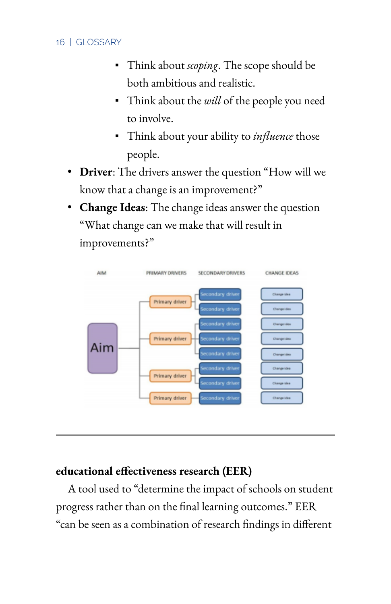- Think about *scoping*. The scope should be both ambitious and realistic.
- Think about the *will* of the people you need to involve.
- Think about your ability to *influence* those people.
- **Driver**: The drivers answer the question "How will we know that a change is an improvement?"
- **Change Ideas**: The change ideas answer the question "What change can we make that will result in improvements?"



# **educational effectiveness research (EER)**

A tool used to "determine the impact of schools on student progress rather than on the final learning outcomes." EER "can be seen as a combination of research findings in different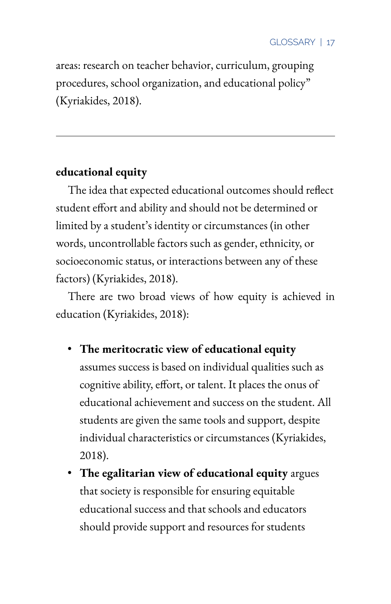areas: research on teacher behavior, curriculum, grouping procedures, school organization, and educational policy" (Kyriakides, 2018).

# **educational equity**

The idea that expected educational outcomes should reflect student effort and ability and should not be determined or limited by a student's identity or circumstances (in other words, uncontrollable factors such as gender, ethnicity, or socioeconomic status, or interactions between any of these factors) (Kyriakides, 2018).

There are two broad views of how equity is achieved in education (Kyriakides, 2018):

- **The meritocratic view of educational equity** assumes success is based on individual qualities such as cognitive ability, effort, or talent. It places the onus of educational achievement and success on the student. All students are given the same tools and support, despite individual characteristics or circumstances (Kyriakides, 2018).
- **The egalitarian view of educational equity** argues that society is responsible for ensuring equitable educational success and that schools and educators should provide support and resources for students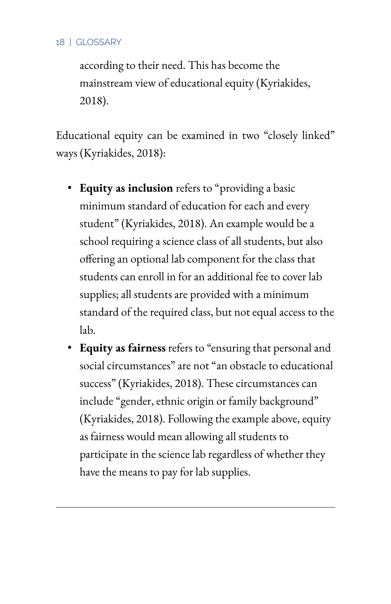according to their need. This has become the mainstream view of educational equity (Kyriakides, 2018).

Educational equity can be examined in two "closely linked" ways (Kyriakides, 2018):

- **Equity as inclusion** refers to "providing a basic minimum standard of education for each and every student" (Kyriakides, 2018). An example would be a school requiring a science class of all students, but also offering an optional lab component for the class that students can enroll in for an additional fee to cover lab supplies; all students are provided with a minimum standard of the required class, but not equal access to the lab.
- **Equity as fairness** refers to "ensuring that personal and social circumstances" are not "an obstacle to educational success" (Kyriakides, 2018). These circumstances can include "gender, ethnic origin or family background" (Kyriakides, 2018). Following the example above, equity as fairness would mean allowing all students to participate in the science lab regardless of whether they have the means to pay for lab supplies.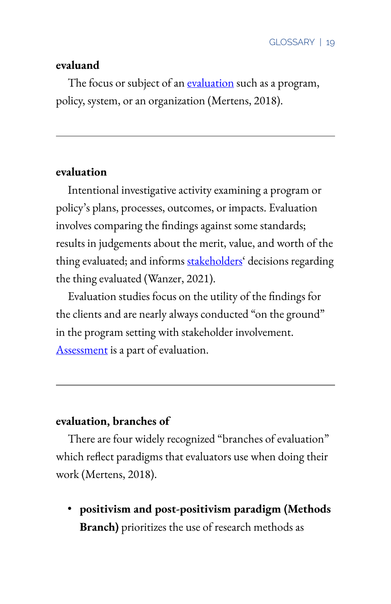#### **evaluand**

The focus or subject of an [evaluation](#page-33-0) such as a program, policy, system, or an organization (Mertens, 2018).

### <span id="page-33-0"></span>**evaluation**

Intentional investigative activity examining a program or policy's plans, processes, outcomes, or impacts. Evaluation involves comparing the findings against some standards; results in judgements about the merit, value, and worth of the thing evaluated; and informs [stakeholders'](#page-62-0) decisions regarding the thing evaluated (Wanzer, 2021).

Evaluation studies focus on the utility of the findings for the clients and are nearly always conducted "on the ground" in the program setting with stakeholder involvement. [Assessment](#page-17-0) is a part of evaluation.

# **evaluation, branches of**

There are four widely recognized "branches of evaluation" which reflect paradigms that evaluators use when doing their work (Mertens, 2018).

• **positivism and post-positivism paradigm (Methods Branch)** prioritizes the use of research methods as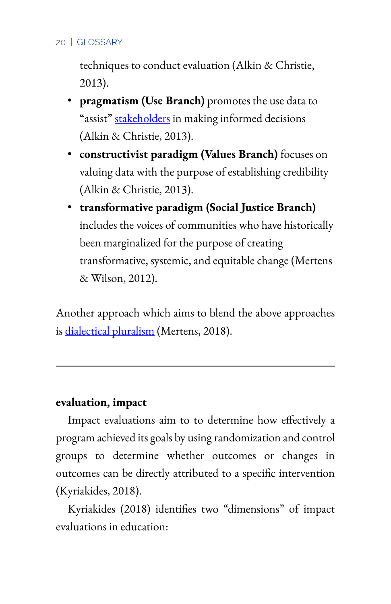techniques to conduct evaluation (Alkin & Christie, 2013).

- **pragmatism (Use Branch)** promotes the use data to "assist" [stakeholders](#page-62-0) in making informed decisions (Alkin & Christie, 2013).
- **constructivist paradigm (Values Branch)** focuses on valuing data with the purpose of establishing credibility (Alkin & Christie, 2013).
- **transformative paradigm (Social Justice Branch)**  includes the voices of communities who have historically been marginalized for the purpose of creating transformative, systemic, and equitable change (Mertens & Wilson, 2012).

Another approach which aims to blend the above approaches is dialectical pluralism (Mertens, 2018).

### **evaluation, impact**

Impact evaluations aim to to determine how effectively a program achieved its goals by using randomization and control groups to determine whether outcomes or changes in outcomes can be directly attributed to a specific intervention (Kyriakides, 2018).

Kyriakides (2018) identifies two "dimensions" of impact evaluations in education: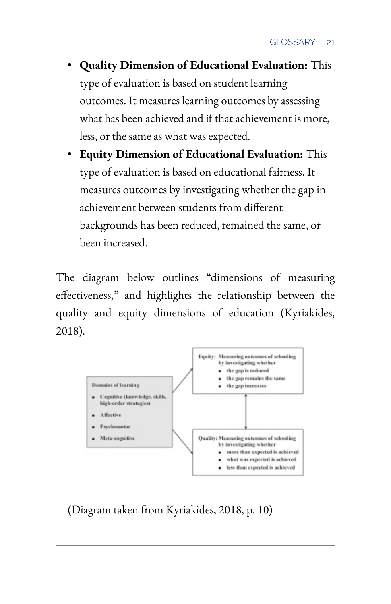- **Quality Dimension of Educational Evaluation:** This type of evaluation is based on student learning outcomes. It measures learning outcomes by assessing what has been achieved and if that achievement is more, less, or the same as what was expected.
- **Equity Dimension of Educational Evaluation:** This type of evaluation is based on educational fairness. It measures outcomes by investigating whether the gap in achievement between students from different backgrounds has been reduced, remained the same, or been increased.

The diagram below outlines "dimensions of measuring effectiveness," and highlights the relationship between the quality and equity dimensions of education (Kyriakides, 2018).



(Diagram taken from Kyriakides, 2018, p. 10)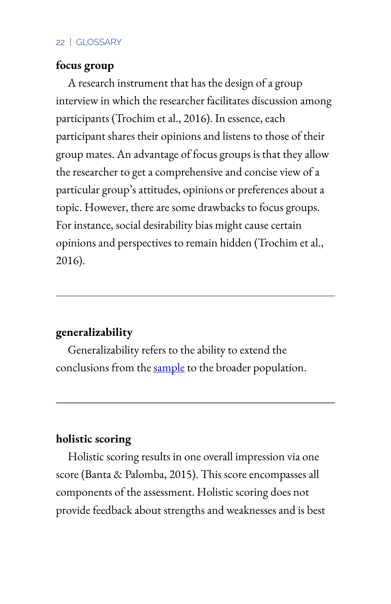### **focus group**

A research instrument that has the design of a group interview in which the researcher facilitates discussion among participants (Trochim et al., 2016). In essence, each participant shares their opinions and listens to those of their group mates. An advantage of focus groups is that they allow the researcher to get a comprehensive and concise view of a particular group's attitudes, opinions or preferences about a topic. However, there are some drawbacks to focus groups. For instance, social desirability bias might cause certain opinions and perspectives to remain hidden (Trochim et al., 2016).

#### <span id="page-36-0"></span>**generalizability**

Generalizability refers to the ability to extend the conclusions from the [sample](#page-57-0) to the broader population.

# **holistic scoring**

Holistic scoring results in one overall impression via one score (Banta & Palomba, 2015). This score encompasses all components of the assessment. Holistic scoring does not provide feedback about strengths and weaknesses and is best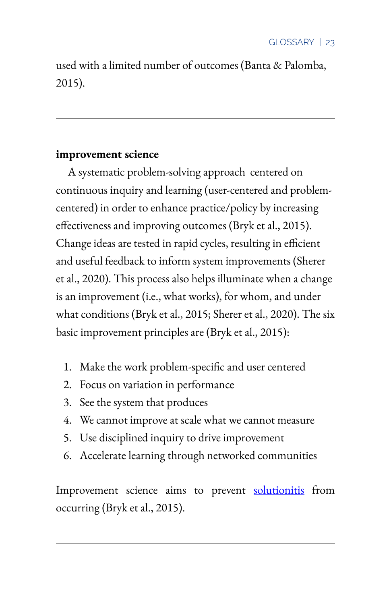used with a limited number of outcomes (Banta & Palomba, 2015).

## **improvement science**

A systematic problem-solving approach centered on continuous inquiry and learning (user-centered and problemcentered) in order to enhance practice/policy by increasing effectiveness and improving outcomes (Bryk et al., 2015). Change ideas are tested in rapid cycles, resulting in efficient and useful feedback to inform system improvements (Sherer et al., 2020). This process also helps illuminate when a change is an improvement (i.e., what works), for whom, and under what conditions (Bryk et al., 2015; Sherer et al., 2020). The six basic improvement principles are (Bryk et al., 2015):

- 1. Make the work problem-specific and user centered
- 2. Focus on variation in performance
- 3. See the system that produces
- 4. We cannot improve at scale what we cannot measure
- 5. Use disciplined inquiry to drive improvement
- 6. Accelerate learning through networked communities

Improvement science aims to prevent [solutionitis](#page-62-0) from occurring (Bryk et al., 2015).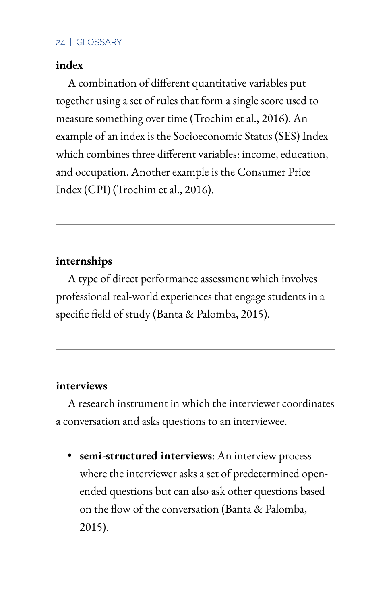## **index**

A combination of different quantitative variables put together using a set of rules that form a single score used to measure something over time (Trochim et al., 2016). An example of an index is the Socioeconomic Status (SES) Index which combines three different variables: income, education, and occupation. Another example is the Consumer Price Index (CPI) (Trochim et al., 2016).

## **internships**

A type of direct performance assessment which involves professional real-world experiences that engage students in a specific field of study (Banta & Palomba, 2015).

## <span id="page-38-0"></span>**interviews**

A research instrument in which the interviewer coordinates a conversation and asks questions to an interviewee.

• **semi-structured interviews**: An interview process where the interviewer asks a set of predetermined openended questions but can also ask other questions based on the flow of the conversation (Banta & Palomba, 2015).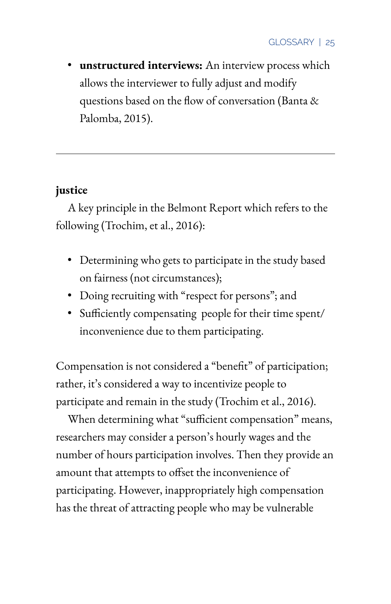• **unstructured interviews:** An interview process which allows the interviewer to fully adjust and modify questions based on the flow of conversation (Banta & Palomba, 2015).

# <span id="page-39-0"></span>**justice**

A key principle in the Belmont Report which refers to the following (Trochim, et al., 2016):

- Determining who gets to participate in the study based on fairness (not circumstances);
- Doing recruiting with "respect for persons"; and
- Sufficiently compensating people for their time spent/ inconvenience due to them participating.

Compensation is not considered a "benefit" of participation; rather, it's considered a way to incentivize people to participate and remain in the study (Trochim et al., 2016).

When determining what "sufficient compensation" means, researchers may consider a person's hourly wages and the number of hours participation involves. Then they provide an amount that attempts to offset the inconvenience of participating. However, inappropriately high compensation has the threat of attracting people who may be vulnerable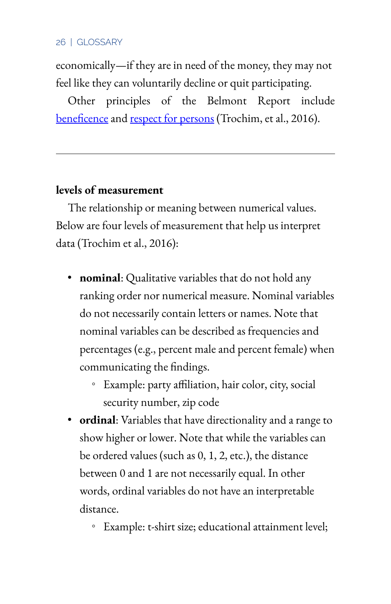economically—if they are in need of the money, they may not feel like they can voluntarily decline or quit participating.

Other principles of the Belmont Report include beneficence and respect for persons (Trochim, et al., 2016).

## **levels of measurement**

The relationship or meaning between numerical values. Below are four levels of measurement that help us interpret data (Trochim et al., 2016):

- **nominal**: Qualitative variables that do not hold any ranking order nor numerical measure. Nominal variables do not necessarily contain letters or names. Note that nominal variables can be described as frequencies and percentages (e.g., percent male and percent female) when communicating the findings.
	- Example: party a6liation, hair color, city, social security number, zip code
- **ordinal**: Variables that have directionality and a range to show higher or lower. Note that while the variables can be ordered values (such as 0, 1, 2, etc.), the distance between 0 and 1 are not necessarily equal. In other words, ordinal variables do not have an interpretable distance.
	- Example: t-shirt size; educational attainment level;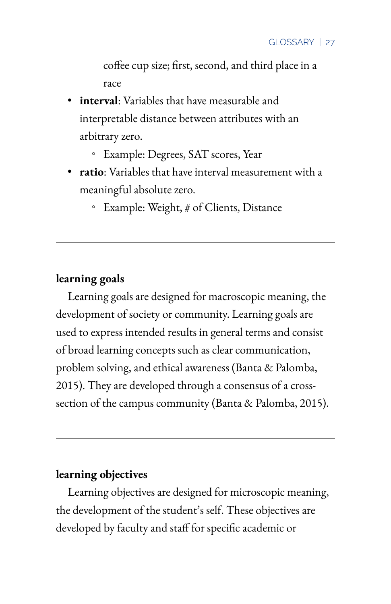coffee cup size; first, second, and third place in a race

- **interval**: Variables that have measurable and interpretable distance between attributes with an arbitrary zero.
	- Example: Degrees, SAT scores, Year
- **ratio**: Variables that have interval measurement with a meaningful absolute zero.
	- Example: Weight, # of Clients, Distance

## **learning goals**

Learning goals are designed for macroscopic meaning, the development of society or community. Learning goals are used to express intended results in general terms and consist of broad learning concepts such as clear communication, problem solving, and ethical awareness (Banta & Palomba, 2015). They are developed through a consensus of a crosssection of the campus community (Banta & Palomba, 2015).

### **learning objectives**

Learning objectives are designed for microscopic meaning, the development of the student's self. These objectives are developed by faculty and staff for specific academic or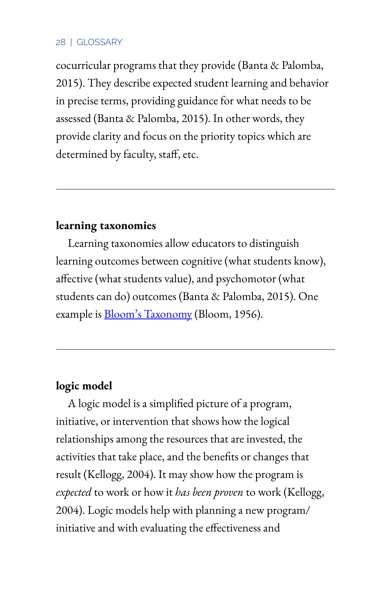cocurricular programs that they provide (Banta & Palomba, 2015). They describe expected student learning and behavior in precise terms, providing guidance for what needs to be assessed (Banta & Palomba, 2015). In other words, they provide clarity and focus on the priority topics which are determined by faculty, staff, etc.

## **learning taxonomies**

Learning taxonomies allow educators to distinguish learning outcomes between cognitive (what students know), affective (what students value), and psychomotor (what students can do) outcomes (Banta & Palomba, 2015). One example is **Bloom's Taxonomy** (Bloom, 1956).

## **logic model**

A logic model is a simplified picture of a program, initiative, or intervention that shows how the logical relationships among the resources that are invested, the activities that take place, and the benefits or changes that result (Kellogg, 2004). It may show how the program is *expected* to work or how it *has been proven* to work (Kellogg, 2004). Logic models help with planning a new program/ initiative and with evaluating the effectiveness and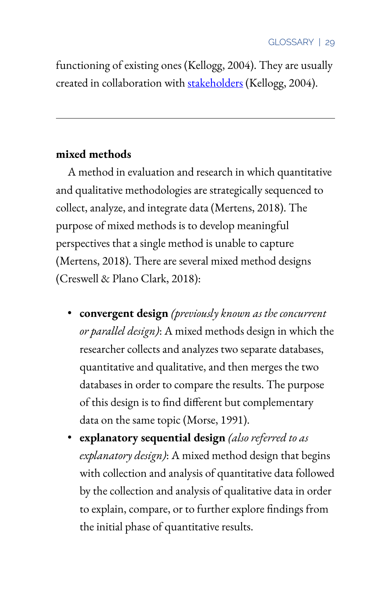functioning of existing ones (Kellogg, 2004). They are usually created in collaboration with [stakeholders](#page-62-1) (Kellogg, 2004).

## **mixed methods**

A method in evaluation and research in which quantitative and qualitative methodologies are strategically sequenced to collect, analyze, and integrate data (Mertens, 2018). The purpose of mixed methods is to develop meaningful perspectives that a single method is unable to capture (Mertens, 2018). There are several mixed method designs (Creswell & Plano Clark, 2018):

- **convergent design** *(previously known as the concurrent or parallel design)*: A mixed methods design in which the researcher collects and analyzes two separate databases, quantitative and qualitative, and then merges the two databases in order to compare the results. The purpose of this design is to find different but complementary data on the same topic (Morse, 1991).
- **explanatory sequential design** *(also referred to as explanatory design)*: A mixed method design that begins with collection and analysis of quantitative data followed by the collection and analysis of qualitative data in order to explain, compare, or to further explore findings from the initial phase of quantitative results.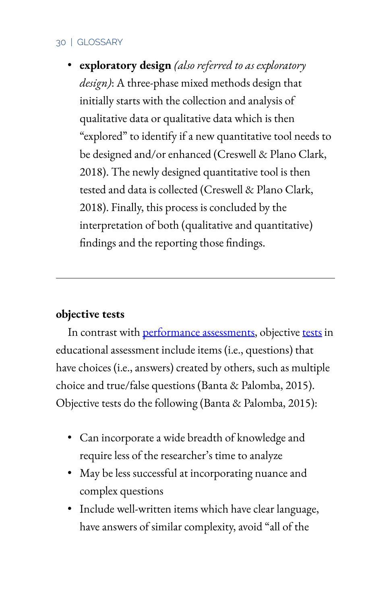• **exploratory design** *(also referred to as exploratory design)*: A three-phase mixed methods design that initially starts with the collection and analysis of qualitative data or qualitative data which is then "explored" to identify if a new quantitative tool needs to be designed and/or enhanced (Creswell & Plano Clark, 2018). The newly designed quantitative tool is then tested and data is collected (Creswell & Plano Clark, 2018). Finally, this process is concluded by the interpretation of both (qualitative and quantitative) findings and the reporting those findings.

## **objective tests**

In contrast with performance assessments, objective [tests](#page-65-0) in educational assessment include items (i.e., questions) that have choices (i.e., answers) created by others, such as multiple choice and true/false questions (Banta & Palomba, 2015). Objective tests do the following (Banta & Palomba, 2015):

- Can incorporate a wide breadth of knowledge and require less of the researcher's time to analyze
- May be less successful at incorporating nuance and complex questions
- Include well-written items which have clear language, have answers of similar complexity, avoid "all of the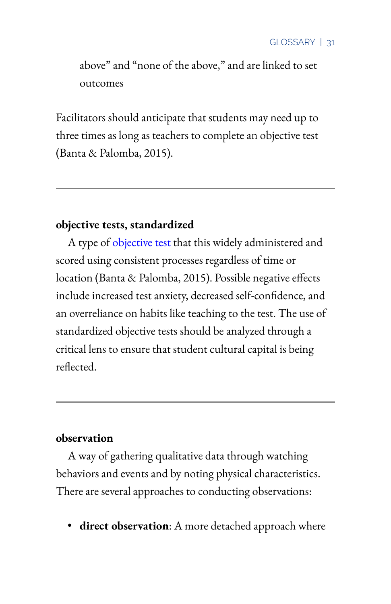above" and "none of the above," and are linked to set outcomes

Facilitators should anticipate that students may need up to three times as long as teachers to complete an objective test (Banta & Palomba, 2015).

## **objective tests, standardized**

A type of objective test that this widely administered and scored using consistent processes regardless of time or location (Banta & Palomba, 2015). Possible negative effects include increased test anxiety, decreased self-confidence, and an overreliance on habits like teaching to the test. The use of standardized objective tests should be analyzed through a critical lens to ensure that student cultural capital is being reflected.

### <span id="page-45-0"></span>**observation**

A way of gathering qualitative data through watching behaviors and events and by noting physical characteristics. There are several approaches to conducting observations:

• **direct observation**: A more detached approach where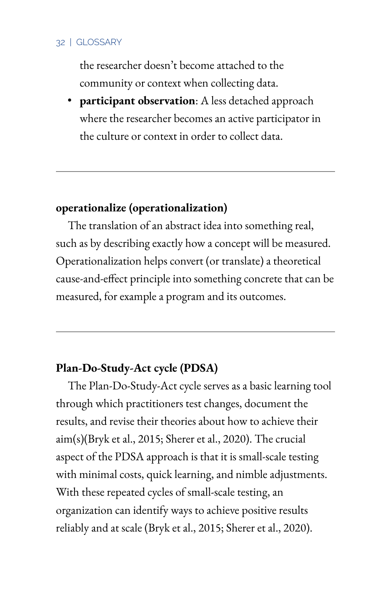the researcher doesn't become attached to the community or context when collecting data.

• **participant observation**: A less detached approach where the researcher becomes an active participator in the culture or context in order to collect data.

## <span id="page-46-0"></span>**operationalize (operationalization)**

The translation of an abstract idea into something real, such as by describing exactly how a concept will be measured. Operationalization helps convert (or translate) a theoretical cause-and-effect principle into something concrete that can be measured, for example a program and its outcomes.

## **Plan-Do-Study-Act cycle (PDSA)**

The Plan-Do-Study-Act cycle serves as a basic learning tool through which practitioners test changes, document the results, and revise their theories about how to achieve their aim(s)(Bryk et al., 2015; Sherer et al., 2020). The crucial aspect of the PDSA approach is that it is small-scale testing with minimal costs, quick learning, and nimble adjustments. With these repeated cycles of small-scale testing, an organization can identify ways to achieve positive results reliably and at scale (Bryk et al., 2015; Sherer et al., 2020).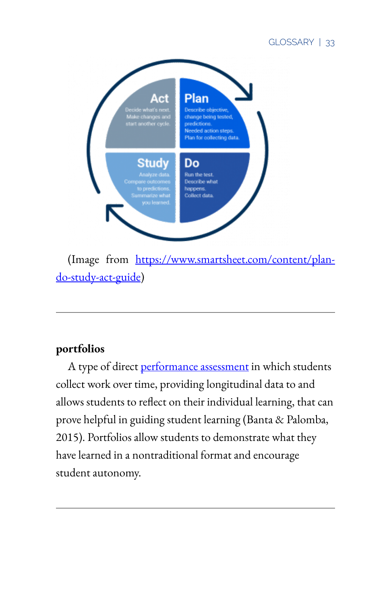

(Image from [https://www.smartsheet.com/content/plan](https://www.smartsheet.com/content/plan-do-study-act-guide)[do-study-act-guide\)](https://www.smartsheet.com/content/plan-do-study-act-guide)

# **portfolios**

A type of direct performance assessment in which students collect work over time, providing longitudinal data to and allows students to reflect on their individual learning, that can prove helpful in guiding student learning (Banta & Palomba, 2015). Portfolios allow students to demonstrate what they have learned in a nontraditional format and encourage student autonomy.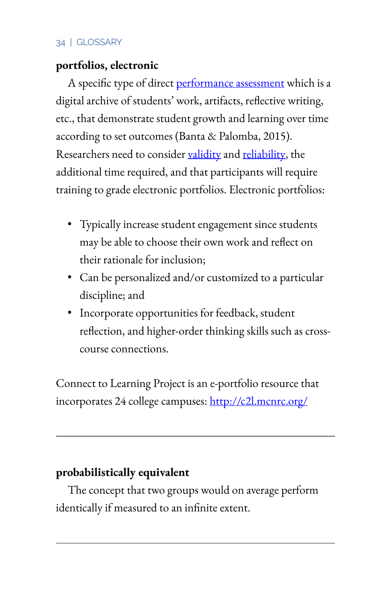## **portfolios, electronic**

A specific type of direct performance assessment which is a digital archive of students' work, artifacts, reflective writing, etc., that demonstrate student growth and learning over time according to set outcomes (Banta & Palomba, 2015). Researchers need to consider [validity](#page-66-0) and [reliability](#page-52-0), the additional time required, and that participants will require training to grade electronic portfolios. Electronic portfolios:

- Typically increase student engagement since students may be able to choose their own work and reflect on their rationale for inclusion;
- Can be personalized and/or customized to a particular discipline; and
- Incorporate opportunities for feedback, student reflection, and higher-order thinking skills such as crosscourse connections.

Connect to Learning Project is an e-portfolio resource that incorporates 24 college campuses: <http://c2l.mcnrc.org/>

## **probabilistically equivalent**

The concept that two groups would on average perform identically if measured to an infinite extent.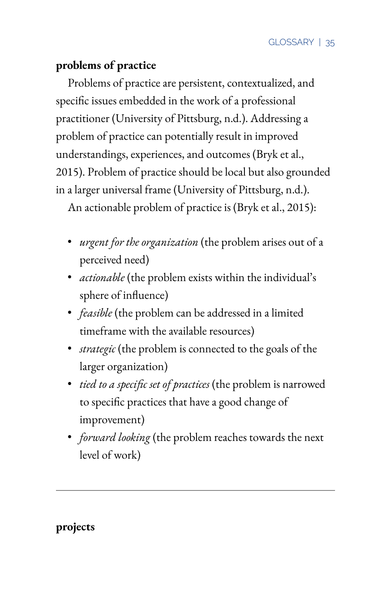# **problems of practice**

Problems of practice are persistent, contextualized, and specific issues embedded in the work of a professional practitioner (University of Pittsburg, n.d.). Addressing a problem of practice can potentially result in improved understandings, experiences, and outcomes (Bryk et al., 2015). Problem of practice should be local but also grounded in a larger universal frame (University of Pittsburg, n.d.).

An actionable problem of practice is (Bryk et al., 2015):

- *urgent for the organization* (the problem arises out of a perceived need)
- *actionable* (the problem exists within the individual's sphere of influence)
- *feasible* (the problem can be addressed in a limited timeframe with the available resources)
- *strategic* (the problem is connected to the goals of the larger organization)
- *tied to a specific set of practices* (the problem is narrowed to specific practices that have a good change of improvement)
- *forward looking* (the problem reaches towards the next level of work)

**projects**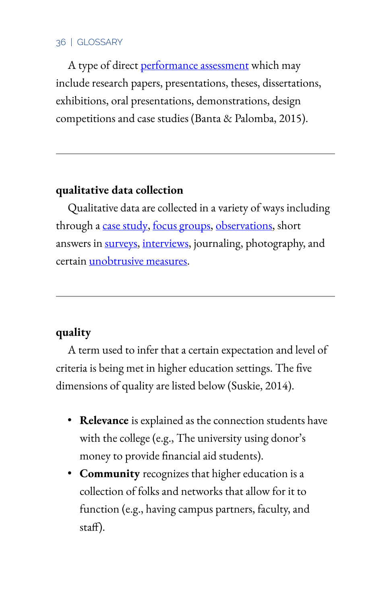A type of direct performance assessment which may include research papers, presentations, theses, dissertations, exhibitions, oral presentations, demonstrations, design competitions and case studies (Banta & Palomba, 2015).

## **qualitative data collection**

Qualitative data are collected in a variety of ways including through a case study, focus groups, [observations,](#page-45-0) short answers in [surveys](#page-64-0), [interviews](#page-38-0), journaling, photography, and certain unobtrusive measures.

## **quality**

A term used to infer that a certain expectation and level of criteria is being met in higher education settings. The five dimensions of quality are listed below (Suskie, 2014).

- **Relevance** is explained as the connection students have with the college (e.g., The university using donor's money to provide financial aid students).
- **Community** recognizes that higher education is a collection of folks and networks that allow for it to function (e.g., having campus partners, faculty, and staff).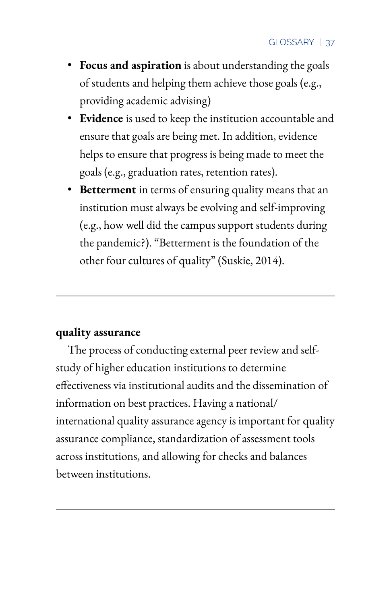- **Focus and aspiration** is about understanding the goals of students and helping them achieve those goals (e.g., providing academic advising)
- **Evidence** is used to keep the institution accountable and ensure that goals are being met. In addition, evidence helps to ensure that progress is being made to meet the goals (e.g., graduation rates, retention rates).
- **Betterment** in terms of ensuring quality means that an institution must always be evolving and self-improving (e.g., how well did the campus support students during the pandemic?). "Betterment is the foundation of the other four cultures of quality" (Suskie, 2014).

## **quality assurance**

The process of conducting external peer review and selfstudy of higher education institutions to determine effectiveness via institutional audits and the dissemination of information on best practices. Having a national/ international quality assurance agency is important for quality assurance compliance, standardization of assessment tools across institutions, and allowing for checks and balances between institutions.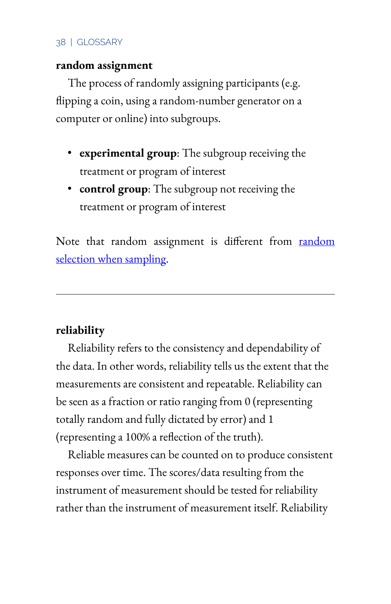## **random assignment**

The process of randomly assigning participants (e.g. flipping a coin, using a random-number generator on a computer or online) into subgroups.

- **experimental group**: The subgroup receiving the treatment or program of interest
- **control group**: The subgroup not receiving the treatment or program of interest

Note that random assignment is different from random selection when sampling.

# <span id="page-52-0"></span>**reliability**

Reliability refers to the consistency and dependability of the data. In other words, reliability tells us the extent that the measurements are consistent and repeatable. Reliability can be seen as a fraction or ratio ranging from 0 (representing totally random and fully dictated by error) and 1 (representing a 100% a reflection of the truth).

Reliable measures can be counted on to produce consistent responses over time. The scores/data resulting from the instrument of measurement should be tested for reliability rather than the instrument of measurement itself. Reliability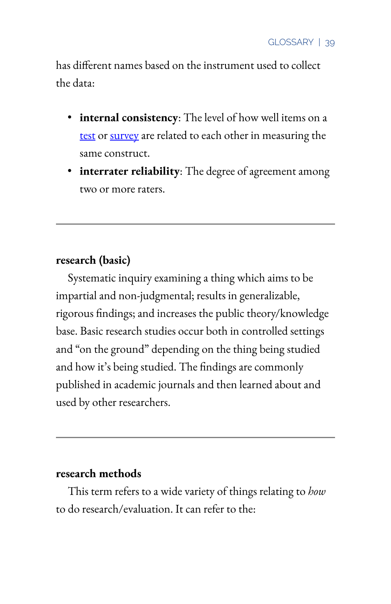has different names based on the instrument used to collect the data:

- **internal consistency**: The level of how well items on a [test](#page-65-0) or [survey](#page-64-0) are related to each other in measuring the same construct.
- **interrater reliability**: The degree of agreement among two or more raters.

## **research (basic)**

Systematic inquiry examining a thing which aims to be impartial and non-judgmental; results in generalizable, rigorous findings; and increases the public theory/knowledge base. Basic research studies occur both in controlled settings and "on the ground" depending on the thing being studied and how it's being studied. The findings are commonly published in academic journals and then learned about and used by other researchers.

### **research methods**

This term refers to a wide variety of things relating to *how*  to do research/evaluation. It can refer to the: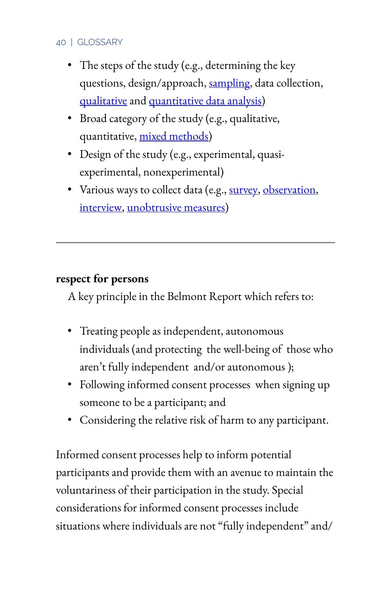- The steps of the study (e.g., determining the key questions, design/approach, [sampling](#page-57-0), data collection, qualitative and quantitative data analysis)
- Broad category of the study (e.g., qualitative, quantitative, mixed methods)
- Design of the study (e.g., experimental, quasiexperimental, nonexperimental)
- Various ways to collect data (e.g., [survey](#page-64-0), [observation,](#page-45-0) [interview,](#page-38-0) unobtrusive measures)

# **respect for persons**

A key principle in the Belmont Report which refers to:

- Treating people as independent, autonomous individuals (and protecting the well-being of those who aren't fully independent and/or autonomous );
- Following informed consent processes when signing up someone to be a participant; and
- Considering the relative risk of harm to any participant.

Informed consent processes help to inform potential participants and provide them with an avenue to maintain the voluntariness of their participation in the study. Special considerations for informed consent processes include situations where individuals are not "fully independent" and/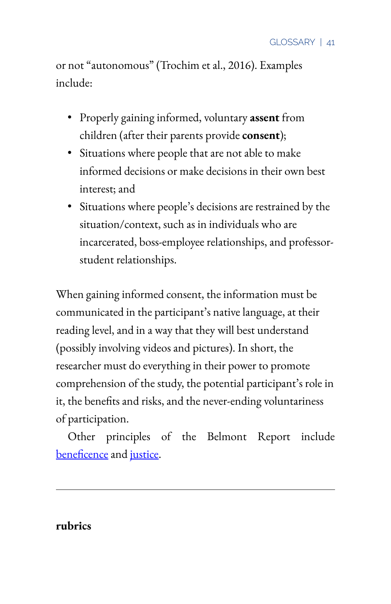or not "autonomous" (Trochim et al., 2016). Examples include:

- Properly gaining informed, voluntary **assent** from children (after their parents provide **consent**);
- Situations where people that are not able to make informed decisions or make decisions in their own best interest; and
- Situations where people's decisions are restrained by the situation/context, such as in individuals who are incarcerated, boss-employee relationships, and professorstudent relationships.

When gaining informed consent, the information must be communicated in the participant's native language, at their reading level, and in a way that they will best understand (possibly involving videos and pictures). In short, the researcher must do everything in their power to promote comprehension of the study, the potential participant's role in it, the benefits and risks, and the never-ending voluntariness of participation.

Other principles of the Belmont Report include beneficence and [justice.](#page-39-0)

### <span id="page-55-0"></span>**rubrics**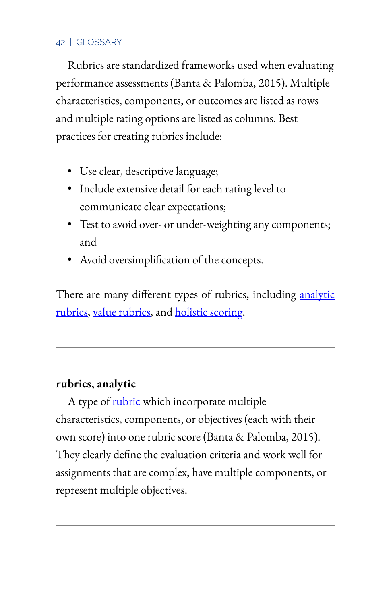Rubrics are standardized frameworks used when evaluating performance assessments (Banta & Palomba, 2015). Multiple characteristics, components, or outcomes are listed as rows and multiple rating options are listed as columns. Best practices for creating rubrics include:

- Use clear, descriptive language;
- Include extensive detail for each rating level to communicate clear expectations;
- Test to avoid over- or under-weighting any components; and
- Avoid oversimplification of the concepts.

There are many different types of rubrics, including analytic rubrics, value rubrics, and holistic scoring.

## **rubrics, analytic**

A type of [rubric](#page-55-0) which incorporate multiple characteristics, components, or objectives (each with their own score) into one rubric score (Banta & Palomba, 2015). They clearly define the evaluation criteria and work well for assignments that are complex, have multiple components, or represent multiple objectives.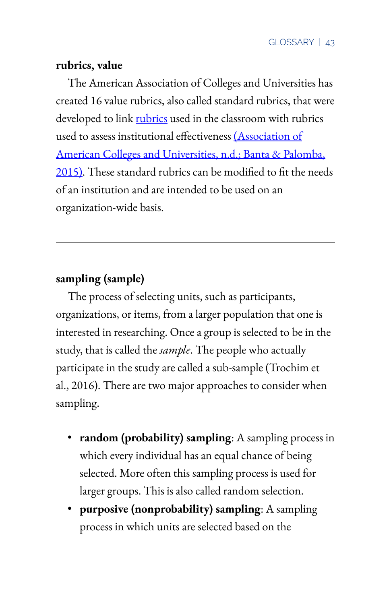## **rubrics, value**

The American Association of Colleges and Universities has created 16 value rubrics, also called standard rubrics, that were developed to link [rubrics](#page-55-0) used in the classroom with rubrics used to assess institutional effectiveness [\(Association of](https://www.aacu.org/value-rubrics) [American Colleges and Universities, n.d.; Banta & Palomba,](https://www.aacu.org/value-rubrics)  [2015\).](https://www.aacu.org/value-rubrics) These standard rubrics can be modified to fit the needs of an institution and are intended to be used on an organization-wide basis.

# <span id="page-57-0"></span>**sampling (sample)**

The process of selecting units, such as participants, organizations, or items, from a larger population that one is interested in researching. Once a group is selected to be in the study, that is called the *sample*. The people who actually participate in the study are called a sub-sample (Trochim et al., 2016). There are two major approaches to consider when sampling.

- **random (probability) sampling**: A sampling process in which every individual has an equal chance of being selected. More often this sampling process is used for larger groups. This is also called random selection.
- **purposive (nonprobability) sampling**: A sampling process in which units are selected based on the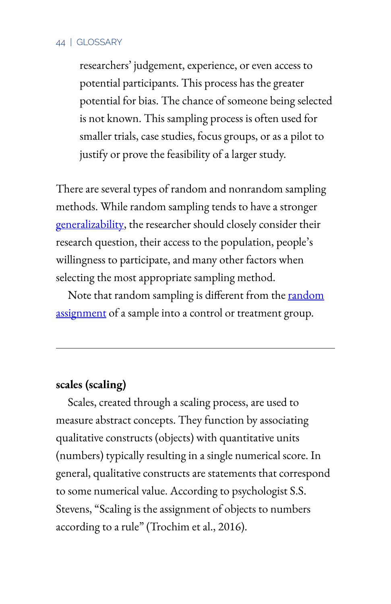researchers' judgement, experience, or even access to potential participants. This process has the greater potential for bias. The chance of someone being selected is not known. This sampling process is often used for smaller trials, case studies, focus groups, or as a pilot to justify or prove the feasibility of a larger study.

There are several types of random and nonrandom sampling methods. While random sampling tends to have a stronger [generalizability,](#page-36-0) the researcher should closely consider their research question, their access to the population, people's willingness to participate, and many other factors when selecting the most appropriate sampling method.

Note that random sampling is different from the random assignment of a sample into a control or treatment group.

## **scales (scaling)**

Scales, created through a scaling process, are used to measure abstract concepts. They function by associating qualitative constructs (objects) with quantitative units (numbers) typically resulting in a single numerical score. In general, qualitative constructs are statements that correspond to some numerical value. According to psychologist S.S. Stevens, "Scaling is the assignment of objects to numbers according to a rule" (Trochim et al., 2016).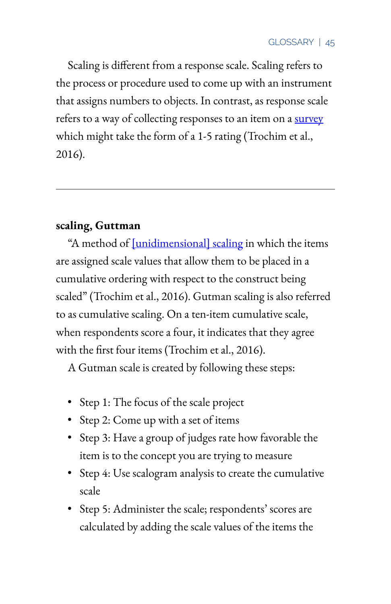Scaling is different from a response scale. Scaling refers to the process or procedure used to come up with an instrument that assigns numbers to objects. In contrast, as response scale refers to a way of collecting responses to an item on a survey which might take the form of a 1-5 rating (Trochim et al., 2016).

# **scaling, Guttman**

"A method of [unidimensional] scaling in which the items are assigned scale values that allow them to be placed in a cumulative ordering with respect to the construct being scaled" (Trochim et al., 2016). Gutman scaling is also referred to as cumulative scaling. On a ten-item cumulative scale, when respondents score a four, it indicates that they agree with the first four items (Trochim et al., 2016).

A Gutman scale is created by following these steps:

- Step 1: The focus of the scale project
- Step 2: Come up with a set of items
- Step 3: Have a group of judges rate how favorable the item is to the concept you are trying to measure
- Step 4: Use scalogram analysis to create the cumulative scale
- Step 5: Administer the scale; respondents' scores are calculated by adding the scale values of the items the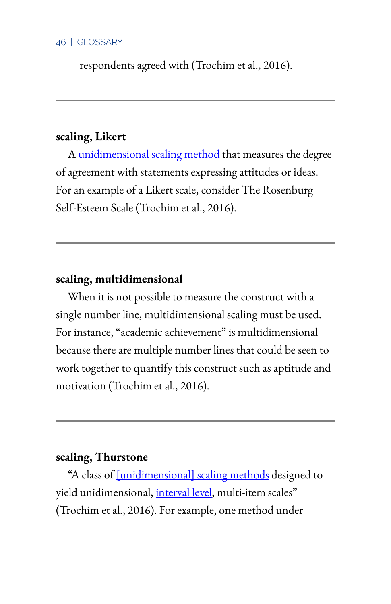respondents agreed with (Trochim et al., 2016).

## **scaling, Likert**

A unidimensional scaling method that measures the degree of agreement with statements expressing attitudes or ideas. For an example of a Likert scale, consider The Rosenburg Self-Esteem Scale (Trochim et al., 2016).

## **scaling, multidimensional**

When it is not possible to measure the construct with a single number line, multidimensional scaling must be used. For instance, "academic achievement" is multidimensional because there are multiple number lines that could be seen to work together to quantify this construct such as aptitude and motivation (Trochim et al., 2016).

## **scaling, Thurstone**

"A class of [unidimensional] scaling methods designed to yield unidimensional, interval level, multi-item scales" (Trochim et al., 2016). For example, one method under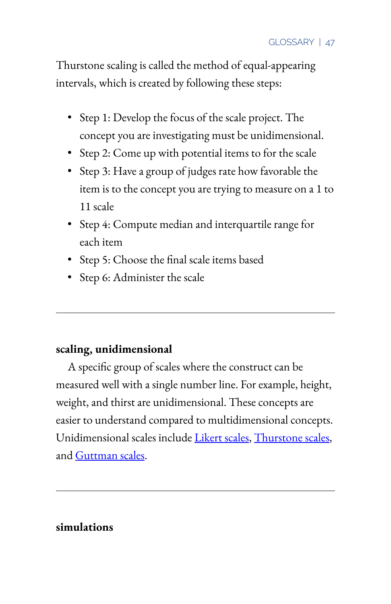Thurstone scaling is called the method of equal-appearing intervals, which is created by following these steps:

- Step 1: Develop the focus of the scale project. The concept you are investigating must be unidimensional.
- Step 2: Come up with potential items to for the scale
- Step 3: Have a group of judges rate how favorable the item is to the concept you are trying to measure on a 1 to 11 scale
- Step 4: Compute median and interquartile range for each item
- Step 5: Choose the final scale items based
- Step 6: Administer the scale

# **scaling, unidimensional**

A specific group of scales where the construct can be measured well with a single number line. For example, height, weight, and thirst are unidimensional. These concepts are easier to understand compared to multidimensional concepts. Unidimensional scales include Likert scales, Thurstone scales, and Guttman scales.

# **simulations**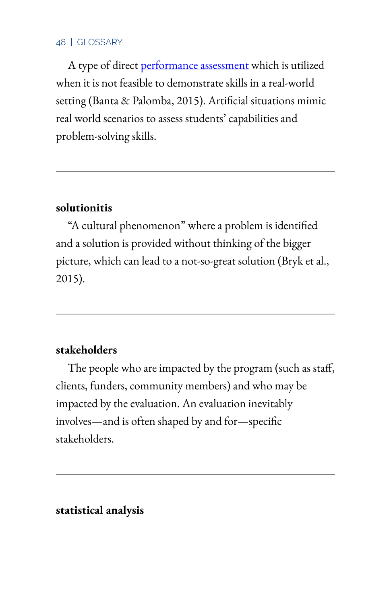A type of direct performance assessment which is utilized when it is not feasible to demonstrate skills in a real-world setting (Banta & Palomba, 2015). Artificial situations mimic real world scenarios to assess students' capabilities and problem-solving skills.

## <span id="page-62-0"></span>**solutionitis**

"A cultural phenomenon" where a problem is identified and a solution is provided without thinking of the bigger picture, which can lead to a not-so-great solution (Bryk et al., 2015).

## <span id="page-62-1"></span>**stakeholders**

The people who are impacted by the program (such as staff, clients, funders, community members) and who may be impacted by the evaluation. An evaluation inevitably involves—and is often shaped by and for—specific stakeholders.

**statistical analysis**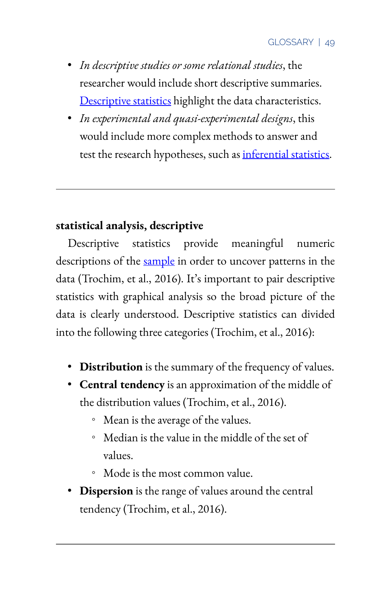- *In descriptive studies or some relational studies*, the researcher would include short descriptive summaries. Descriptive statistics highlight the data characteristics.
- *In experimental and quasi-experimental designs*, this would include more complex methods to answer and test the research hypotheses, such as inferential statistics.

# **statistical analysis, descriptive**

Descriptive statistics provide meaningful numeric descriptions of the [sample](#page-57-0) in order to uncover patterns in the data (Trochim, et al., 2016). It's important to pair descriptive statistics with graphical analysis so the broad picture of the data is clearly understood. Descriptive statistics can divided into the following three categories (Trochim, et al., 2016):

- **Distribution** is the summary of the frequency of values.
- **Central tendency** is an approximation of the middle of the distribution values (Trochim, et al., 2016).
	- Mean is the average of the values.
	- Median is the value in the middle of the set of values.
	- Mode is the most common value.
- **Dispersion** is the range of values around the central tendency (Trochim, et al., 2016).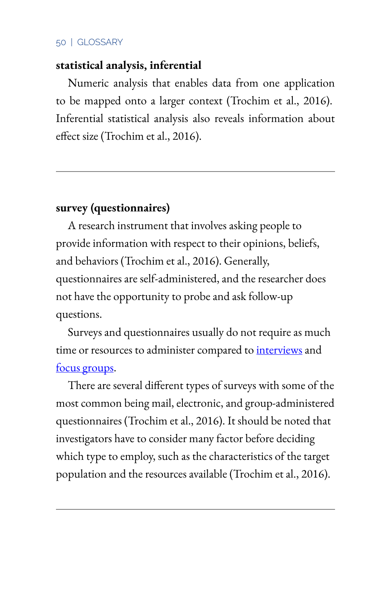## **statistical analysis, inferential**

Numeric analysis that enables data from one application to be mapped onto a larger context (Trochim et al., 2016). Inferential statistical analysis also reveals information about effect size (Trochim et al., 2016).

## <span id="page-64-0"></span>**survey (questionnaires)**

A research instrument that involves asking people to provide information with respect to their opinions, beliefs, and behaviors (Trochim et al., 2016). Generally, questionnaires are self-administered, and the researcher does not have the opportunity to probe and ask follow-up questions.

Surveys and questionnaires usually do not require as much time or resources to administer compared to *[interviews](#page-38-0)* and focus groups.

There are several different types of surveys with some of the most common being mail, electronic, and group-administered questionnaires (Trochim et al., 2016). It should be noted that investigators have to consider many factor before deciding which type to employ, such as the characteristics of the target population and the resources available (Trochim et al., 2016).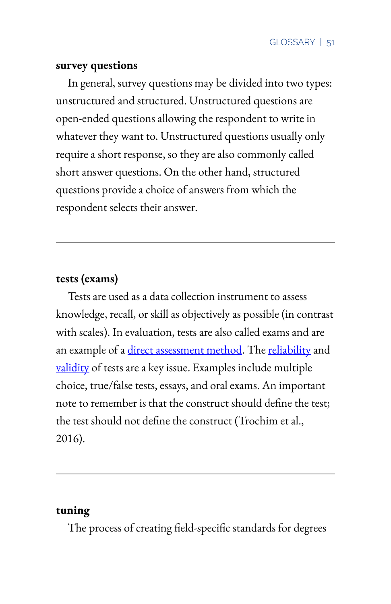### **survey questions**

In general, survey questions may be divided into two types: unstructured and structured. Unstructured questions are open-ended questions allowing the respondent to write in whatever they want to. Unstructured questions usually only require a short response, so they are also commonly called short answer questions. On the other hand, structured questions provide a choice of answers from which the respondent selects their answer.

# <span id="page-65-0"></span>**tests (exams)**

Tests are used as a data collection instrument to assess knowledge, recall, or skill as objectively as possible (in contrast with scales). In evaluation, tests are also called exams and are an example of a direct assessment method. The [reliability](#page-52-0) and [validity](#page-66-0) of tests are a key issue. Examples include multiple choice, true/false tests, essays, and oral exams. An important note to remember is that the construct should define the test; the test should not define the construct (Trochim et al., 2016).

## **tuning**

The process of creating field-specific standards for degrees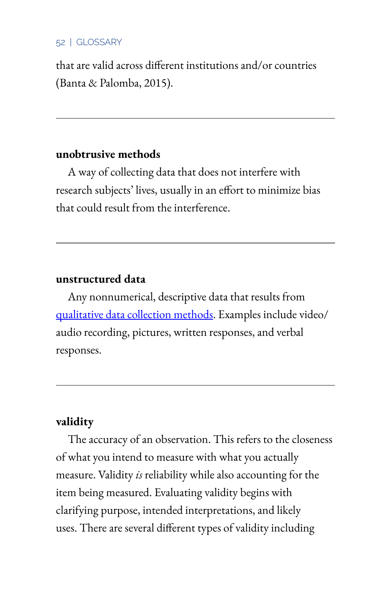that are valid across different institutions and/or countries (Banta & Palomba, 2015).

### **unobtrusive methods**

A way of collecting data that does not interfere with research subjects' lives, usually in an effort to minimize bias that could result from the interference.

## **unstructured data**

Any nonnumerical, descriptive data that results from qualitative data collection methods. Examples include video/ audio recording, pictures, written responses, and verbal responses.

## <span id="page-66-0"></span>**validity**

The accuracy of an observation. This refers to the closeness of what you intend to measure with what you actually measure. Validity *is* reliability while also accounting for the item being measured. Evaluating validity begins with clarifying purpose, intended interpretations, and likely uses. There are several different types of validity including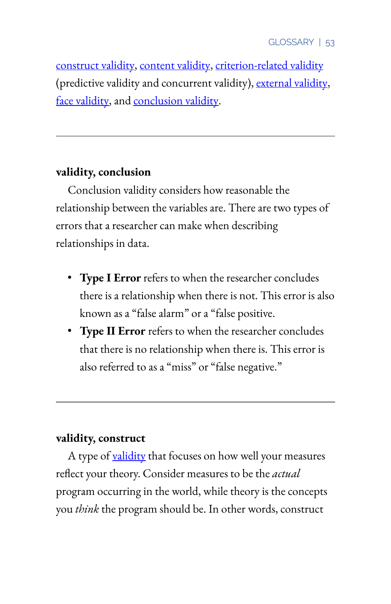construct validity, content validity, criterion-related validity (predictive validity and concurrent validity), external validity, face validity, and conclusion validity.

## **validity, conclusion**

Conclusion validity considers how reasonable the relationship between the variables are. There are two types of errors that a researcher can make when describing relationships in data.

- **Type I Error** refers to when the researcher concludes there is a relationship when there is not. This error is also known as a "false alarm" or a "false positive.
- **Type II Error** refers to when the researcher concludes that there is no relationship when there is. This error is also referred to as a "miss" or "false negative."

# **validity, construct**

A type of [validity](#page-66-0) that focuses on how well your measures reflect your theory. Consider measures to be the *actual* program occurring in the world, while theory is the concepts you *think* the program should be. In other words, construct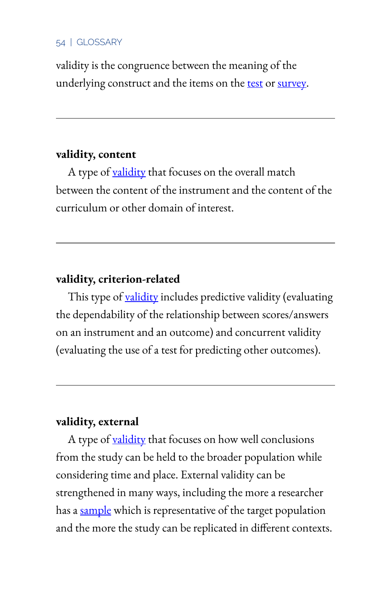validity is the congruence between the meaning of the underlying construct and the items on the [test](#page-65-0) or [survey](#page-64-0).

## **validity, content**

A type of [validity](#page-66-0) that focuses on the overall match between the content of the instrument and the content of the curriculum or other domain of interest.

## **validity, criterion-related**

This type of [validity](#page-66-0) includes predictive validity (evaluating the dependability of the relationship between scores/answers on an instrument and an outcome) and concurrent validity (evaluating the use of a test for predicting other outcomes).

## **validity, external**

A type of [validity](#page-66-0) that focuses on how well conclusions from the study can be held to the broader population while considering time and place. External validity can be strengthened in many ways, including the more a researcher has a [sample](#page-57-0) which is representative of the target population and the more the study can be replicated in different contexts.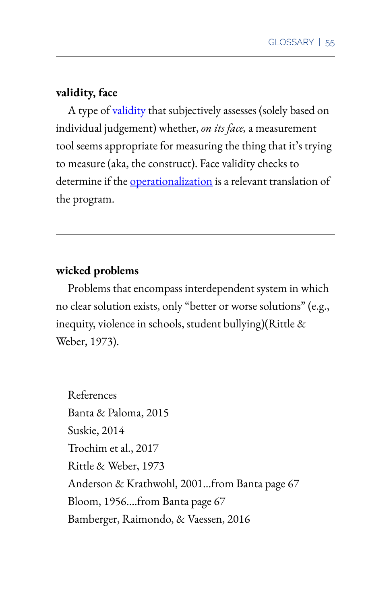## **validity, face**

A type of [validity](#page-66-0) that subjectively assesses (solely based on individual judgement) whether, *on its face,* a measurement tool seems appropriate for measuring the thing that it's trying to measure (aka, the construct). Face validity checks to determine if the *[operationalization](#page-46-0)* is a relevant translation of the program.

## **wicked problems**

Problems that encompass interdependent system in which no clear solution exists, only "better or worse solutions" (e.g., inequity, violence in schools, student bullying)(Rittle & Weber, 1973).

References Banta & Paloma, 2015 Suskie, 2014 Trochim et al., 2017 Rittle & Weber, 1973 Anderson & Krathwohl, 2001…from Banta page 67 Bloom, 1956….from Banta page 67 Bamberger, Raimondo, & Vaessen, 2016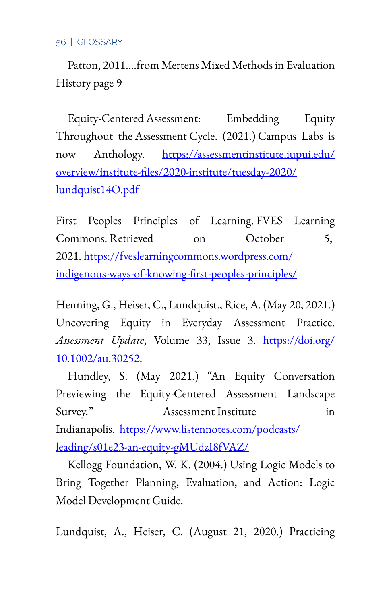Patton, 2011….from Mertens Mixed Methods in Evaluation History page 9

Equity-Centered Assessment: Embedding Equity Throughout the Assessment Cycle. (2021.) Campus Labs is now Anthology. [https://assessmentinstitute.iupui.edu/](https://assessmentinstitute.iupui.edu/overview/institute-files/2020-institute/tuesday-2020/lundquist14O.pdf) [overview/institute-7les/2020-institute/tuesday-2020/](https://assessmentinstitute.iupui.edu/overview/institute-files/2020-institute/tuesday-2020/lundquist14O.pdf) [lundquist14O.pdf](https://assessmentinstitute.iupui.edu/overview/institute-files/2020-institute/tuesday-2020/lundquist14O.pdf) 

First Peoples Principles of Learning. FVES Learning Commons. Retrieved on October 5, 2021. [https://fveslearningcommons.wordpress.com/](https://fveslearningcommons.wordpress.com/indigenous-ways-of-knowing-first-peoples-principles/) indigenous-ways-of-knowing-first-peoples-principles/

Henning, G., Heiser, C., Lundquist., Rice, A. (May 20, 2021.) Uncovering Equity in Everyday Assessment Practice. *Assessment Update*, Volume 33, Issue 3. [https://doi.org/](https://doi.org/10.1002/au.30252) [10.1002/au.30252](https://doi.org/10.1002/au.30252).

Hundley, S. (May 2021.) "An Equity Conversation Previewing the Equity-Centered Assessment Landscape Survey." Assessment Institute in Indianapolis. [https://www.listennotes.com/podcasts/](https://www.listennotes.com/podcasts/leading/s01e23-an-equity-gMUdzI8fVAZ/) [leading/s01e23-an-equity-gMUdzI8fVAZ/](https://www.listennotes.com/podcasts/leading/s01e23-an-equity-gMUdzI8fVAZ/)

Kellogg Foundation, W. K. (2004.) Using Logic Models to Bring Together Planning, Evaluation, and Action: Logic Model Development Guide.

Lundquist, A., Heiser, C. (August 21, 2020.) Practicing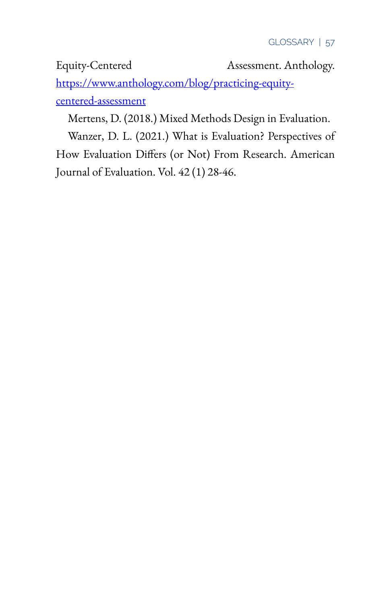Equity-Centered Assessment. Anthology.

[https://www.anthology.com/blog/practicing-equity](https://www.anthology.com/blog/practicing-equity-centered-assessment)[centered-assessment](https://www.anthology.com/blog/practicing-equity-centered-assessment) 

Mertens, D. (2018.) Mixed Methods Design in Evaluation.

Wanzer, D. L. (2021.) What is Evaluation? Perspectives of How Evaluation Differs (or Not) From Research. American Journal of Evaluation. Vol. 42 (1) 28-46.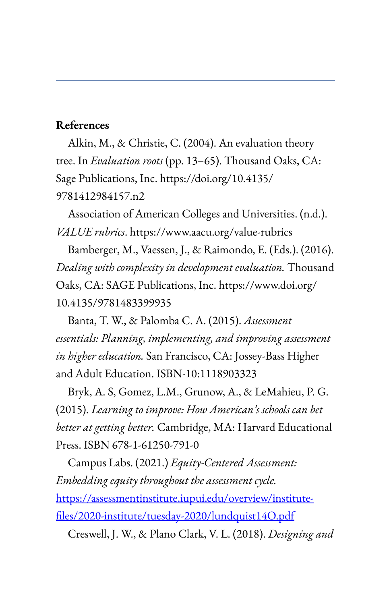## **References**

Alkin, M., & Christie, C. (2004). An evaluation theory tree. In *Evaluation roots* (pp. 13–65). Thousand Oaks, CA: Sage Publications, Inc. https://doi.org/10.4135/ 9781412984157.n2

Association of American Colleges and Universities. (n.d.). *VALUE rubrics*. https://www.aacu.org/value-rubrics

Bamberger, M., Vaessen, J., & Raimondo, E. (Eds.). (2016). *Dealing with complexity in development evaluation.* Thousand Oaks, CA: SAGE Publications, Inc. https://www.doi.org/ 10.4135/9781483399935

Banta, T. W., & Palomba C. A. (2015). *Assessment essentials: Planning, implementing, and improving assessment in higher education.* San Francisco, CA: Jossey-Bass Higher and Adult Education. ISBN-10:1118903323

Bryk, A. S, Gomez, L.M., Grunow, A., & LeMahieu, P. G. (2015). *Learning to improve: How American's schools can bet better at getting better.* Cambridge, MA: Harvard Educational Press. ISBN 678-1-61250-791-0

Campus Labs. (2021.) *Equity-Centered Assessment: Embedding equity throughout the assessment cycle.*  [https://assessmentinstitute.iupui.edu/overview/institute](https://assessmentinstitute.iupui.edu/overview/institute-files/2020-institute/tuesday-2020/lundquist14O.pdf)files/2020-institute/tuesday-2020/lundquist14O.pdf

Creswell, J. W., & Plano Clark, V. L. (2018). *Designing and*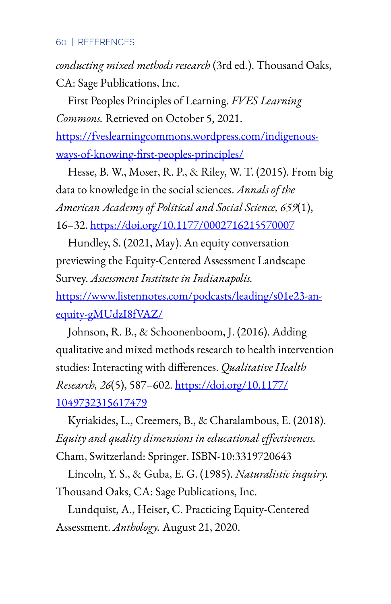## 60 | REFERENCES

*conducting mixed methods research* (3rd ed.). Thousand Oaks, CA: Sage Publications, Inc.

First Peoples Principles of Learning. *FVES Learning Commons.* Retrieved on October 5, 2021.

[https://fveslearningcommons.wordpress.com/indigenous](https://fveslearningcommons.wordpress.com/indigenous-ways-of-knowing-first-peoples-principles/)ways-of-knowing-first-peoples-principles/

Hesse, B. W., Moser, R. P., & Riley, W. T. (2015). From big data to knowledge in the social sciences. *Annals of the American Academy of Political and Social Science, 659*(1), 16–32. [https://doi.org/10.1177/0002716215570007](https://psycnet.apa.org/doi/10.1177/0002716215570007)

Hundley, S. (2021, May). An equity conversation previewing the Equity-Centered Assessment Landscape Survey. *Assessment Institute in Indianapolis.* [https://www.listennotes.com/podcasts/leading/s01e23-an](https://www.listennotes.com/podcasts/leading/s01e23-an-equity-gMUdzI8fVAZ/)[equity-gMUdzI8fVAZ/](https://www.listennotes.com/podcasts/leading/s01e23-an-equity-gMUdzI8fVAZ/)

Johnson, R. B., & Schoonenboom, J. (2016). Adding qualitative and mixed methods research to health intervention studies: Interacting with differences. *Qualitative Health Research, 26*(5), 587–602. [https://doi.org/10.1177/](https://doi.org/10.1177/1049732315617479) [1049732315617479](https://doi.org/10.1177/1049732315617479) 

Kyriakides, L., Creemers, B., & Charalambous, E. (2018). Equity and quality dimensions in educational effectiveness. Cham, Switzerland: Springer. ISBN-10:3319720643

Lincoln, Y. S., & Guba, E. G. (1985). *Naturalistic inquiry.* Thousand Oaks, CA: Sage Publications, Inc.

Lundquist, A., Heiser, C. Practicing Equity-Centered Assessment. *Anthology.* August 21, 2020.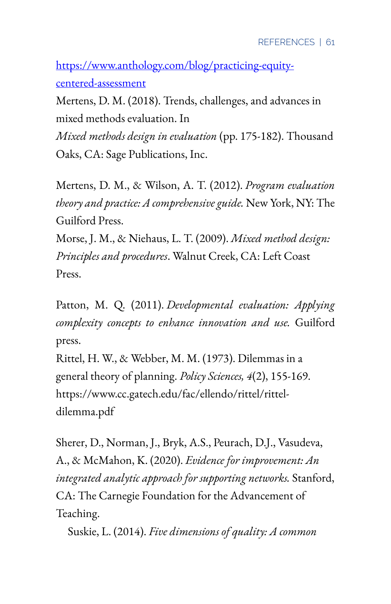[https://www.anthology.com/blog/practicing-equity](https://www.anthology.com/blog/practicing-equity-centered-assessment)[centered-assessment](https://www.anthology.com/blog/practicing-equity-centered-assessment) 

Mertens, D. M. (2018). Trends, challenges, and advances in mixed methods evaluation. In

*Mixed methods design in evaluation* (pp. 175-182). Thousand Oaks, CA: Sage Publications, Inc.

Mertens, D. M., & Wilson, A. T. (2012). *Program evaluation theory and practice: A comprehensive guide.* New York, NY: The Guilford Press.

Morse, J. M., & Niehaus, L. T. (2009). *Mixed method design: Principles and procedures*. Walnut Creek, CA: Left Coast Press.

Patton, M. Q. (2011). *Developmental evaluation: Applying complexity concepts to enhance innovation and use.* Guilford press.

Rittel, H. W., & Webber, M. M. (1973). Dilemmas in a general theory of planning. *Policy Sciences, 4*(2), 155-169. https://www.cc.gatech.edu/fac/ellendo/rittel/ritteldilemma.pdf

Sherer, D., Norman, J., Bryk, A.S., Peurach, D.J., Vasudeva, A., & McMahon, K. (2020). *Evidence for improvement: An integrated analytic approach for supporting networks.* Stanford, CA: The Carnegie Foundation for the Advancement of Teaching.

Suskie, L. (2014). *Five dimensions of quality: A common*